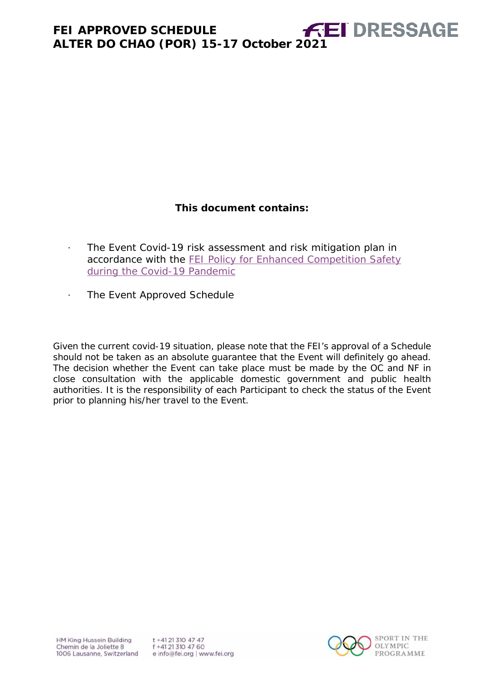## **This document contains:**

- <span id="page-0-0"></span>· The Event Covid-19 risk assessment and risk mitigation plan in accordance with the FEI Policy for Enhanced Competition Safety [during the Covid-19 Pandemic](https://inside.fei.org/fei/covid-19/return-to-play)
- · The Event Approved Schedule

*Given the current covid-19 situation, please note that the FEI's approval of a Schedule should not be taken as an absolute guarantee that the Event will definitely go ahead. The decision whether the Event can take place must be made by the OC and NF in close consultation with the applicable domestic government and public health authorities. It is the responsibility of each Participant to check the status of the Event prior to planning his/her travel to the Event.*

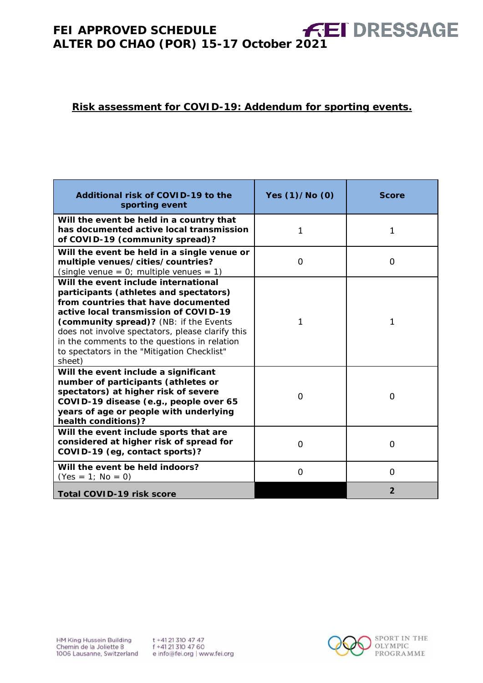## **Risk assessment for COVID-19: Addendum for sporting events.**

| Additional risk of COVID-19 to the<br>sporting event                                                                                                                                                                                                                                                                                                                  | Yes (1)/No (0) | <b>Score</b> |
|-----------------------------------------------------------------------------------------------------------------------------------------------------------------------------------------------------------------------------------------------------------------------------------------------------------------------------------------------------------------------|----------------|--------------|
| Will the event be held in a country that<br>has documented active local transmission<br>of COVID-19 (community spread)?                                                                                                                                                                                                                                               | 1              | $\mathbf{1}$ |
| Will the event be held in a single venue or<br>multiple venues/cities/countries?<br>(single venue = $0$ ; multiple venues = 1)                                                                                                                                                                                                                                        | 0              | 0            |
| Will the event include international<br>participants (athletes and spectators)<br>from countries that have documented<br>active local transmission of COVID-19<br>(community spread)? (NB: if the Events<br>does not involve spectators, please clarify this<br>in the comments to the questions in relation<br>to spectators in the "Mitigation Checklist"<br>sheet) | 1              | 1            |
| Will the event include a significant<br>number of participants (athletes or<br>spectators) at higher risk of severe<br>COVID-19 disease (e.g., people over 65<br>years of age or people with underlying<br>health conditions)?                                                                                                                                        | 0              | $\Omega$     |
| Will the event include sports that are<br>considered at higher risk of spread for<br>COVID-19 (eg, contact sports)?                                                                                                                                                                                                                                                   | 0              | $\Omega$     |
| Will the event be held indoors?<br>$(Yes = 1; No = 0)$                                                                                                                                                                                                                                                                                                                | 0              | 0            |
| <b>Total COVID-19 risk score</b>                                                                                                                                                                                                                                                                                                                                      |                | 2            |

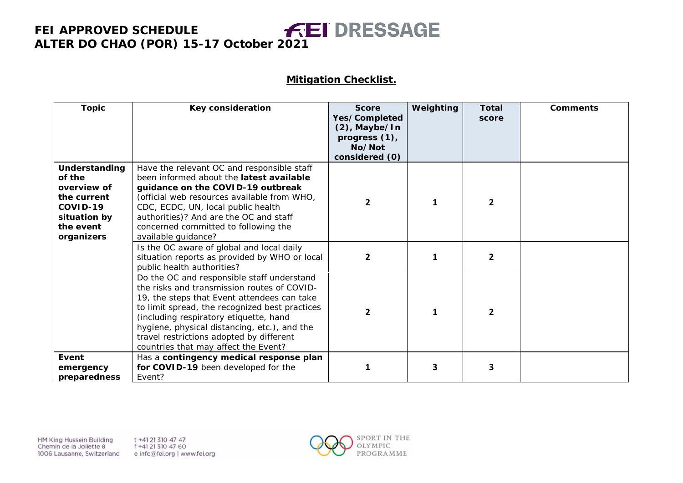#### **Mitigation Checklist.**

| <b>Topic</b>                                                                                                 | Key consideration                                                                                                                                                                                                                                                                                                                                                        | <b>Score</b><br>Yes/Completed<br>$(2)$ , Maybe/In<br>progress (1),<br>No/Not<br>considered (0) | Weighting | <b>Total</b><br>score | <b>Comments</b> |
|--------------------------------------------------------------------------------------------------------------|--------------------------------------------------------------------------------------------------------------------------------------------------------------------------------------------------------------------------------------------------------------------------------------------------------------------------------------------------------------------------|------------------------------------------------------------------------------------------------|-----------|-----------------------|-----------------|
| Understanding<br>of the<br>overview of<br>the current<br>COVID-19<br>situation by<br>the event<br>organizers | Have the relevant OC and responsible staff<br>been informed about the latest available<br>guidance on the COVID-19 outbreak<br>(official web resources available from WHO,<br>CDC, ECDC, UN, local public health<br>authorities)? And are the OC and staff<br>concerned committed to following the<br>available guidance?                                                | $\overline{2}$                                                                                 |           | $\overline{2}$        |                 |
|                                                                                                              | Is the OC aware of global and local daily<br>situation reports as provided by WHO or local<br>public health authorities?                                                                                                                                                                                                                                                 | $\mathbf{2}$                                                                                   | 1         | 2                     |                 |
|                                                                                                              | Do the OC and responsible staff understand<br>the risks and transmission routes of COVID-<br>19, the steps that Event attendees can take<br>to limit spread, the recognized best practices<br>(including respiratory etiquette, hand<br>hygiene, physical distancing, etc.), and the<br>travel restrictions adopted by different<br>countries that may affect the Event? | $\overline{2}$                                                                                 | 1         | $\overline{2}$        |                 |
| Event<br>emergency<br>preparedness                                                                           | Has a contingency medical response plan<br>for COVID-19 been developed for the<br>Event?                                                                                                                                                                                                                                                                                 |                                                                                                | 3         | 3                     |                 |

HM King Hussein Building Chemin de la Joliette 8 1006 Lausanne, Switzerland t +41 21 310 47 47 f +41 21 310 47 60 e info@fei.org | www.fei.org

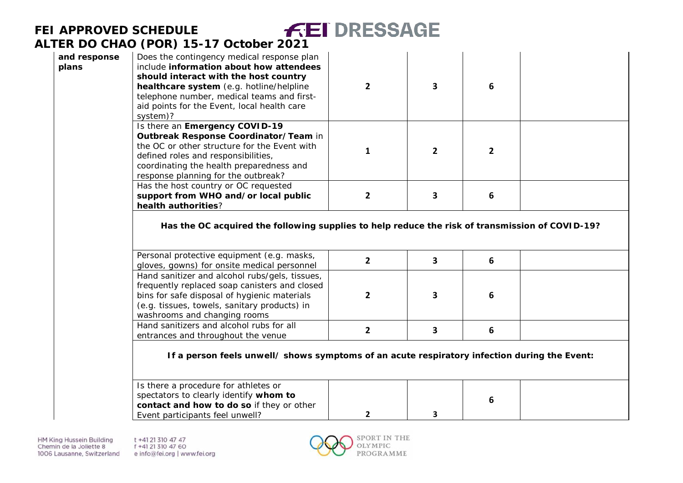| and response<br>plans | Does the contingency medical response plan<br>include information about how attendees<br>should interact with the host country<br>healthcare system (e.g. hotline/helpline<br>telephone number, medical teams and first-<br>aid points for the Event, local health care<br>system)? | $\overline{2}$ | $\overline{\mathbf{3}}$ | 6              |  |
|-----------------------|-------------------------------------------------------------------------------------------------------------------------------------------------------------------------------------------------------------------------------------------------------------------------------------|----------------|-------------------------|----------------|--|
|                       | Is there an Emergency COVID-19<br>Outbreak Response Coordinator/Team in<br>the OC or other structure for the Event with<br>defined roles and responsibilities,<br>coordinating the health preparedness and<br>response planning for the outbreak?                                   | 1              | $\overline{2}$          | $\overline{2}$ |  |
|                       | Has the host country or OC requested<br>support from WHO and/or local public<br>health authorities?                                                                                                                                                                                 | $\overline{2}$ | 3                       | 6              |  |
|                       | Has the OC acquired the following supplies to help reduce the risk of transmission of COVID-19?<br>Personal protective equipment (e.g. masks,<br>gloves, gowns) for onsite medical personnel                                                                                        | $\overline{2}$ | $\overline{\mathbf{3}}$ | 6              |  |
|                       | Hand sanitizer and alcohol rubs/gels, tissues,<br>frequently replaced soap canisters and closed<br>bins for safe disposal of hygienic materials<br>(e.g. tissues, towels, sanitary products) in<br>washrooms and changing rooms                                                     | $\overline{2}$ | $\overline{\mathbf{3}}$ | 6              |  |
|                       | Hand sanitizers and alcohol rubs for all<br>entrances and throughout the venue                                                                                                                                                                                                      | $\overline{2}$ | 3                       | 6              |  |
|                       | If a person feels unwell/ shows symptoms of an acute respiratory infection during the Event:                                                                                                                                                                                        |                |                         |                |  |
|                       | Is there a procedure for athletes or<br>spectators to clearly identify whom to<br>contact and how to do so if they or other<br>Event participants feel unwell?                                                                                                                      | $\mathbf{2}$   | 3                       | 6              |  |

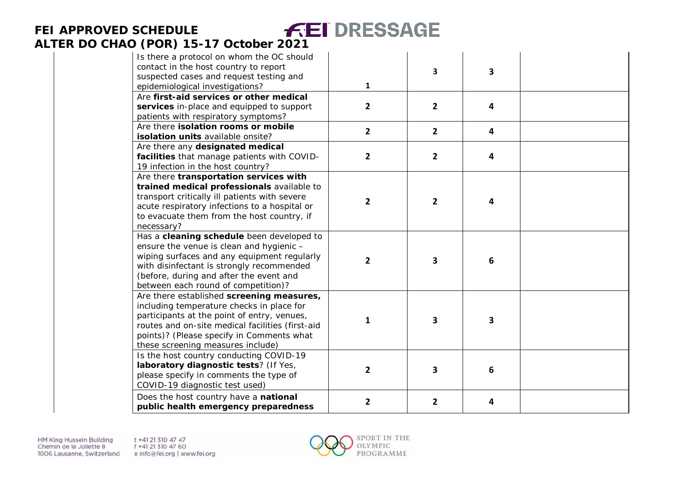| Is there a protocol on whom the OC should<br>contact in the host country to report<br>suspected cases and request testing and<br>epidemiological investigations?                                                                                                            | 1              | 3              | 3              |  |
|-----------------------------------------------------------------------------------------------------------------------------------------------------------------------------------------------------------------------------------------------------------------------------|----------------|----------------|----------------|--|
| Are first-aid services or other medical<br>services in-place and equipped to support<br>patients with respiratory symptoms?                                                                                                                                                 | $\overline{2}$ | $\overline{2}$ | $\overline{4}$ |  |
| Are there isolation rooms or mobile<br>isolation units available onsite?                                                                                                                                                                                                    | $\overline{2}$ | $\overline{2}$ | 4              |  |
| Are there any designated medical<br>facilities that manage patients with COVID-<br>19 infection in the host country?                                                                                                                                                        | 2              | $\overline{2}$ | 4              |  |
| Are there transportation services with<br>trained medical professionals available to<br>transport critically ill patients with severe<br>acute respiratory infections to a hospital or<br>to evacuate them from the host country, if<br>necessary?                          | $\overline{2}$ | 2              | 4              |  |
| Has a cleaning schedule been developed to<br>ensure the venue is clean and hygienic -<br>wiping surfaces and any equipment regularly<br>with disinfectant is strongly recommended<br>(before, during and after the event and<br>between each round of competition)?         | $\overline{2}$ | 3              | 6              |  |
| Are there established screening measures,<br>including temperature checks in place for<br>participants at the point of entry, venues,<br>routes and on-site medical facilities (first-aid<br>points)? (Please specify in Comments what<br>these screening measures include) | 1              | 3              | 3              |  |
| Is the host country conducting COVID-19<br>laboratory diagnostic tests? (If Yes,<br>please specify in comments the type of<br>COVID-19 diagnostic test used)                                                                                                                | 2              | 3              | 6              |  |
| Does the host country have a national<br>public health emergency preparedness                                                                                                                                                                                               | $\mathbf{2}$   | 2              | 4              |  |

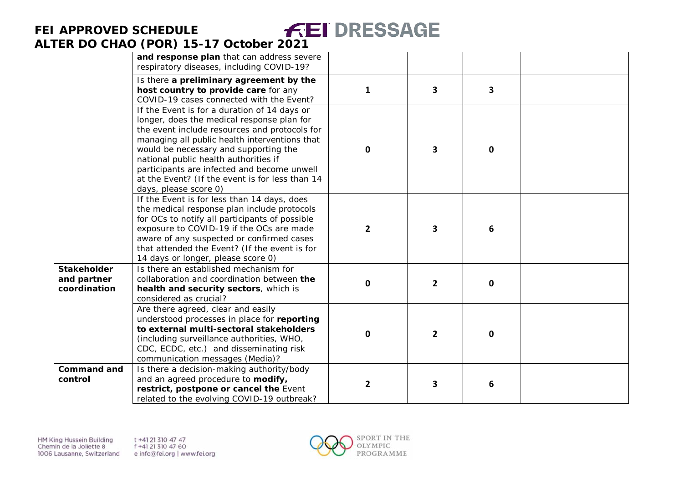|                                                   | and response plan that can address severe<br>respiratory diseases, including COVID-19?                                                                                                                                                                                                                                                                                                                    |                |              |             |  |
|---------------------------------------------------|-----------------------------------------------------------------------------------------------------------------------------------------------------------------------------------------------------------------------------------------------------------------------------------------------------------------------------------------------------------------------------------------------------------|----------------|--------------|-------------|--|
|                                                   | Is there a preliminary agreement by the<br>host country to provide care for any<br>COVID-19 cases connected with the Event?                                                                                                                                                                                                                                                                               | $\mathbf{1}$   | 3            | 3           |  |
|                                                   | If the Event is for a duration of 14 days or<br>longer, does the medical response plan for<br>the event include resources and protocols for<br>managing all public health interventions that<br>would be necessary and supporting the<br>national public health authorities if<br>participants are infected and become unwell<br>at the Event? (If the event is for less than 14<br>days, please score 0) | $\mathbf 0$    | 3            | $\mathbf 0$ |  |
|                                                   | If the Event is for less than 14 days, does<br>the medical response plan include protocols<br>for OCs to notify all participants of possible<br>exposure to COVID-19 if the OCs are made<br>aware of any suspected or confirmed cases<br>that attended the Event? (If the event is for<br>14 days or longer, please score 0)                                                                              | $\overline{2}$ | 3.           | 6           |  |
| <b>Stakeholder</b><br>and partner<br>coordination | Is there an established mechanism for<br>collaboration and coordination between the<br>health and security sectors, which is<br>considered as crucial?                                                                                                                                                                                                                                                    | $\mathbf 0$    | $\mathbf{2}$ | 0           |  |
|                                                   | Are there agreed, clear and easily<br>understood processes in place for reporting<br>to external multi-sectoral stakeholders<br>(including surveillance authorities, WHO,<br>CDC, ECDC, etc.) and disseminating risk<br>communication messages (Media)?                                                                                                                                                   | $\mathbf 0$    | $\mathbf{2}$ | 0           |  |
| <b>Command and</b><br>control                     | Is there a decision-making authority/body<br>and an agreed procedure to modify,<br>restrict, postpone or cancel the Event<br>related to the evolving COVID-19 outbreak?                                                                                                                                                                                                                                   | $\mathbf{2}$   | 3.           | 6           |  |

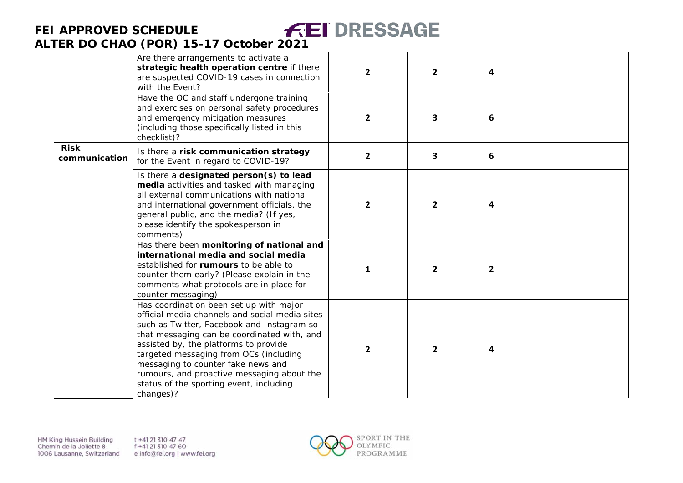#### **FEI DRESSAGE FEI APPROVED SCHEDULE ALTER DO CHAO (POR) 15 -17 October 2021**  $\mathcal{L}_{\rm{in}}$

|                              | Are there arrangements to activate a<br>strategic health operation centre if there<br>are suspected COVID-19 cases in connection<br>with the Event?<br>Have the OC and staff undergone training                                                                                                                                                                                                                       | $\overline{2}$ | $\overline{2}$ | 4            |  |
|------------------------------|-----------------------------------------------------------------------------------------------------------------------------------------------------------------------------------------------------------------------------------------------------------------------------------------------------------------------------------------------------------------------------------------------------------------------|----------------|----------------|--------------|--|
|                              | and exercises on personal safety procedures<br>and emergency mitigation measures<br>(including those specifically listed in this<br>checklist)?                                                                                                                                                                                                                                                                       | $\overline{2}$ | 3              | 6            |  |
| <b>Risk</b><br>communication | Is there a risk communication strategy<br>for the Event in regard to COVID-19?                                                                                                                                                                                                                                                                                                                                        | $\overline{2}$ | 3              | 6            |  |
|                              | Is there a designated person(s) to lead<br>media activities and tasked with managing<br>all external communications with national<br>and international government officials, the<br>general public, and the media? (If yes,<br>please identify the spokesperson in<br>comments)                                                                                                                                       | $\overline{2}$ | $\overline{2}$ | 4            |  |
|                              | Has there been monitoring of national and<br>international media and social media<br>established for rumours to be able to<br>counter them early? (Please explain in the<br>comments what protocols are in place for<br>counter messaging)                                                                                                                                                                            | 1              | $\overline{2}$ | $\mathbf{2}$ |  |
|                              | Has coordination been set up with major<br>official media channels and social media sites<br>such as Twitter, Facebook and Instagram so<br>that messaging can be coordinated with, and<br>assisted by, the platforms to provide<br>targeted messaging from OCs (including<br>messaging to counter fake news and<br>rumours, and proactive messaging about the<br>status of the sporting event, including<br>changes)? | $\overline{2}$ | $\overline{2}$ | 4            |  |

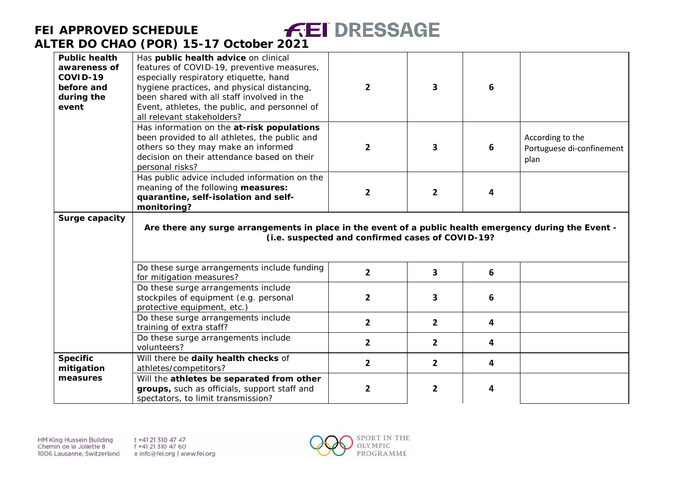# **FEI APPROVED SCHEDULE**



## **ALTER DO CHAO (POR) 15-17 October 2021**

| <b>Public health</b><br>awareness of<br>COVID-19<br>before and<br>during the<br>event | Has public health advice on clinical<br>features of COVID-19, preventive measures,<br>especially respiratory etiquette, hand<br>hygiene practices, and physical distancing,<br>been shared with all staff involved in the<br>Event, athletes, the public, and personnel of<br>all relevant stakeholders? | $\overline{2}$                                   | 3              | 6 |                                                       |
|---------------------------------------------------------------------------------------|----------------------------------------------------------------------------------------------------------------------------------------------------------------------------------------------------------------------------------------------------------------------------------------------------------|--------------------------------------------------|----------------|---|-------------------------------------------------------|
|                                                                                       | Has information on the at-risk populations<br>been provided to all athletes, the public and<br>others so they may make an informed<br>decision on their attendance based on their<br>personal risks?                                                                                                     | $\overline{2}$                                   | 3              | 6 | According to the<br>Portuguese di-confinement<br>plan |
|                                                                                       | Has public advice included information on the<br>meaning of the following measures:<br>quarantine, self-isolation and self-<br>monitoring?                                                                                                                                                               | $\overline{2}$                                   | $\overline{2}$ | 4 |                                                       |
| Surge capacity                                                                        | Are there any surge arrangements in place in the event of a public health emergency during the Event -                                                                                                                                                                                                   | (i.e. suspected and confirmed cases of COVID-19? |                |   |                                                       |
|                                                                                       | Do these surge arrangements include funding<br>for mitigation measures?                                                                                                                                                                                                                                  | $\overline{2}$                                   | 3              | 6 |                                                       |
|                                                                                       | Do these surge arrangements include<br>stockpiles of equipment (e.g. personal<br>protective equipment, etc.)                                                                                                                                                                                             | $\overline{2}$                                   | 3              | 6 |                                                       |
|                                                                                       | Do these surge arrangements include<br>training of extra staff?                                                                                                                                                                                                                                          | $\overline{2}$                                   | $\overline{2}$ | 4 |                                                       |
|                                                                                       | Do these surge arrangements include<br>volunteers?                                                                                                                                                                                                                                                       | $\overline{2}$                                   | $\overline{2}$ | 4 |                                                       |
| <b>Specific</b><br>mitigation                                                         | Will there be daily health checks of<br>athletes/competitors?                                                                                                                                                                                                                                            | $\overline{2}$                                   | $\overline{2}$ | 4 |                                                       |
| measures                                                                              | Will the athletes be separated from other<br>groups, such as officials, support staff and                                                                                                                                                                                                                | $\overline{2}$                                   | $\mathbf{2}$   | 4 |                                                       |

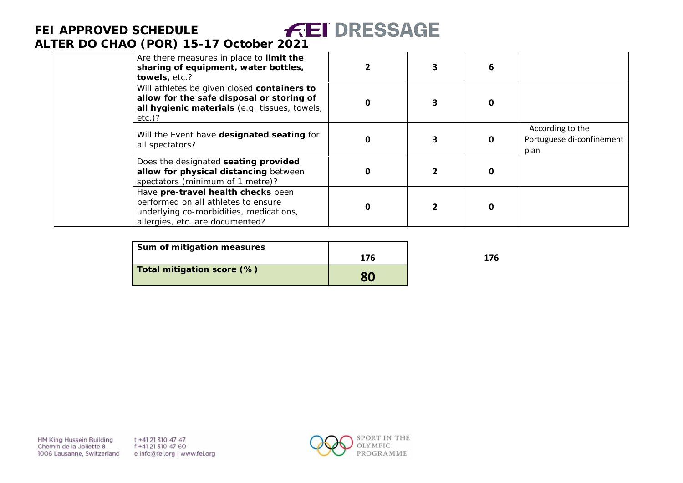| Are there measures in place to limit the<br>sharing of equipment, water bottles,<br>towels, etc.?                                                       |   | 6 |                                                       |
|---------------------------------------------------------------------------------------------------------------------------------------------------------|---|---|-------------------------------------------------------|
| Will athletes be given closed containers to<br>allow for the safe disposal or storing of<br>all hygienic materials (e.g. tissues, towels,<br>$etc.$ )?  | 0 | 0 |                                                       |
| Will the Event have designated seating for<br>all spectators?                                                                                           | 0 | 0 | According to the<br>Portuguese di-confinement<br>plan |
| Does the designated seating provided<br>allow for physical distancing between<br>spectators (minimum of 1 metre)?                                       | 0 | 0 |                                                       |
| Have pre-travel health checks been<br>performed on all athletes to ensure<br>underlying co-morbidities, medications,<br>allergies, etc. are documented? | 0 | 0 |                                                       |

| Sum of mitigation measures |     |     |
|----------------------------|-----|-----|
|                            | 176 | 176 |
| Total mitigation score (%) | 80  |     |

HM King Hussein Building Chemin de la Joliette 8 1006 Lausanne, Switzerland t +41 21 310 47 47 f +41 21 310 47 60 e info@fei.org | www.fei.org

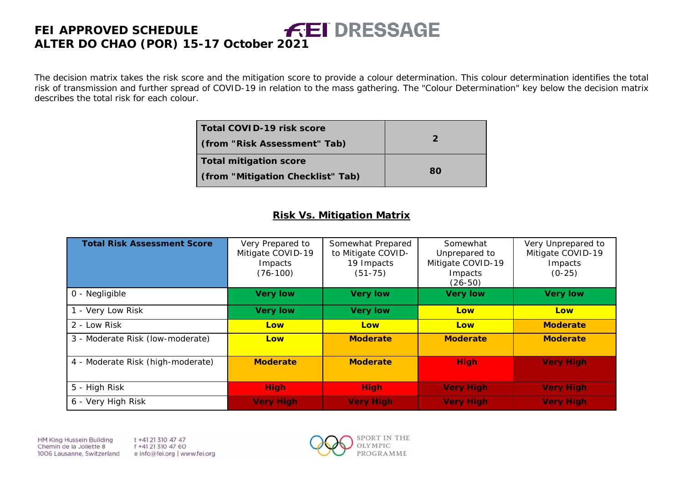The decision matrix takes the risk score and the mitigation score to provide a colour determination. This colour determination identifies the total risk of transmission and further spread of COVID-19 in relation to the mass gathering. The "Colour Determination" key below the decision matrix describes the total risk for each colour.

| Total COVID-19 risk score<br>(from "Risk Assessment" Tab) | $\mathcal{P}$ |
|-----------------------------------------------------------|---------------|
| <b>Total mitigation score</b>                             |               |
| (from "Mitigation Checklist" Tab)                         | 80            |

#### **Risk Vs. Mitigation Matrix**

| <b>Total Risk Assessment Score</b> | Very Prepared to<br>Mitigate COVID-19<br>Impacts<br>$(76-100)$ | Somewhat Prepared<br>to Mitigate COVID-<br>19 Impacts<br>$(51 - 75)$ | Somewhat<br>Unprepared to<br>Mitigate COVID-19<br>Impacts<br>$(26-50)$ | Very Unprepared to<br>Mitigate COVID-19<br>Impacts<br>$(0-25)$ |
|------------------------------------|----------------------------------------------------------------|----------------------------------------------------------------------|------------------------------------------------------------------------|----------------------------------------------------------------|
| 0 - Negligible                     | <b>Very low</b>                                                | <b>Very low</b>                                                      | <b>Very low</b>                                                        | <b>Very low</b>                                                |
| 1 - Very Low Risk                  | <b>Very low</b>                                                | <b>Very low</b>                                                      | Low                                                                    | Low                                                            |
| 2 - Low Risk                       | Low                                                            | Low                                                                  | Low                                                                    | <b>Moderate</b>                                                |
| 3 - Moderate Risk (low-moderate)   | Low                                                            | <b>Moderate</b>                                                      | <b>Moderate</b>                                                        | <b>Moderate</b>                                                |
| 4 - Moderate Risk (high-moderate)  | <b>Moderate</b>                                                | <b>Moderate</b>                                                      | <b>High</b>                                                            | <b>Very High</b>                                               |
| 5 - High Risk                      | <b>High</b>                                                    | <b>High</b>                                                          | <b>Very High</b>                                                       | <b>Very High</b>                                               |
| 6 - Very High Risk                 | <b>Very High</b>                                               | <b>Very High</b>                                                     | <b>Very High</b>                                                       | <b>Very High</b>                                               |

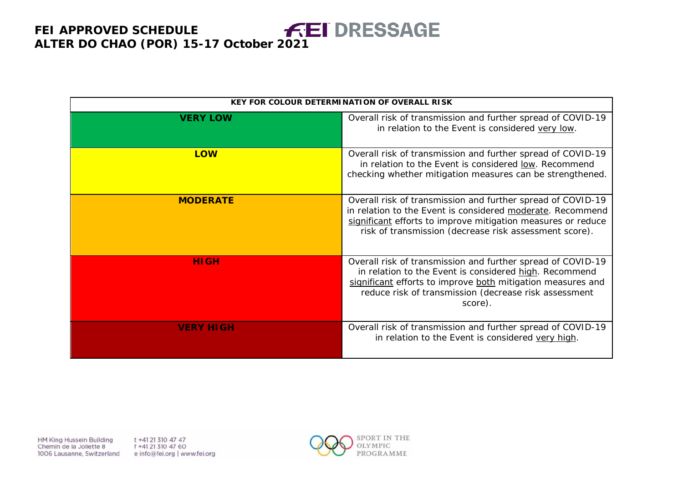|                  | <b>KEY FOR COLOUR DETERMINATION OF OVERALL RISK</b>                                                                                                                                                                                                      |
|------------------|----------------------------------------------------------------------------------------------------------------------------------------------------------------------------------------------------------------------------------------------------------|
| <b>VERY LOW</b>  | Overall risk of transmission and further spread of COVID-19<br>in relation to the Event is considered very low.                                                                                                                                          |
| <b>LOW</b>       | Overall risk of transmission and further spread of COVID-19<br>in relation to the Event is considered low. Recommend<br>checking whether mitigation measures can be strengthened.                                                                        |
| <b>MODERATE</b>  | Overall risk of transmission and further spread of COVID-19<br>in relation to the Event is considered moderate. Recommend<br>significant efforts to improve mitigation measures or reduce<br>risk of transmission (decrease risk assessment score).      |
| <b>HIGH</b>      | Overall risk of transmission and further spread of COVID-19<br>in relation to the Event is considered high. Recommend<br>significant efforts to improve both mitigation measures and<br>reduce risk of transmission (decrease risk assessment<br>score). |
| <b>VERY HIGH</b> | Overall risk of transmission and further spread of COVID-19<br>in relation to the Event is considered very high.                                                                                                                                         |

HM King Hussein Building Chemin de la Joliette 8 1006 Lausanne, Switzerland t +41 21 310 47 47 f +41 21 310 47 60 e info@fei.org | www.fei.org

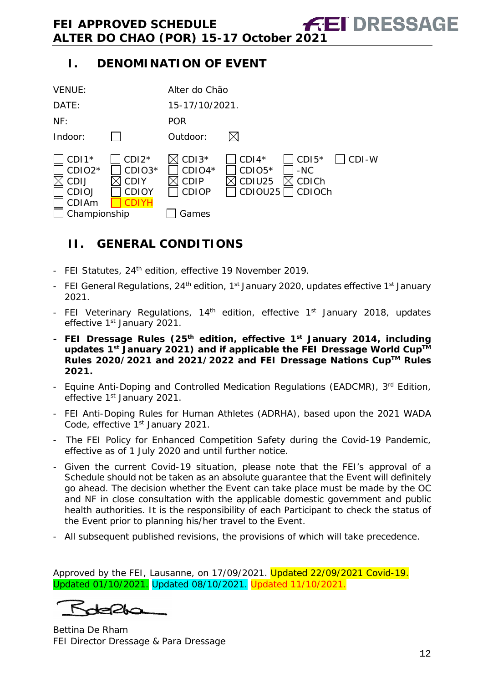## **I. DENOMINATION OF EVENT**

| <b>VENUE:</b>                                                                                 |                                                  | Alter do Chão                                               |                                          |                                            |       |
|-----------------------------------------------------------------------------------------------|--------------------------------------------------|-------------------------------------------------------------|------------------------------------------|--------------------------------------------|-------|
| DATE:                                                                                         |                                                  | 15-17/10/2021.                                              |                                          |                                            |       |
| NF:                                                                                           |                                                  | <b>POR</b>                                                  |                                          |                                            |       |
| Indoor:                                                                                       |                                                  | Outdoor:                                                    |                                          |                                            |       |
| $CDI1*$<br>CDIO <sub>2</sub> *<br><b>CDIJ</b><br><b>CDIOJ</b><br><b>CDIAm</b><br>Championship | $CDI2*$<br>CDIO3*<br><b>CDIY</b><br><b>CDIOY</b> | $CDI3*$<br>$CDIO4*$<br><b>CDIP</b><br><b>CDIOP</b><br>Games | $CDI4*$<br>$CDIO5*$<br>CDIU25<br>CDIOU25 | $CDI5*$<br>$-NC$<br><b>CDICh</b><br>CDIOCh | CDI-W |

## <span id="page-11-0"></span>**II. GENERAL CONDITIONS**

- FEI Statutes, 24<sup>th</sup> edition, effective 19 November 2019.
- FEI General Regulations, 24<sup>th</sup> edition, 1<sup>st</sup> January 2020, updates effective 1<sup>st</sup> January 2021.
- FEI Veterinary Regulations, 14<sup>th</sup> edition, effective 1<sup>st</sup> January 2018, updates effective 1<sup>st</sup> January 2021.
- **- FEI Dressage Rules (25th edition, effective 1st January 2014, including updates 1st January 2021) and if applicable the FEI Dressage World CupTM Rules 2020/2021 and 2021/2022 and FEI Dressage Nations CupTM Rules 2021.**
- Equine Anti-Doping and Controlled Medication Regulations (EADCMR), 3rd Edition, effective 1<sup>st</sup> January 2021.
- FEI Anti-Doping Rules for Human Athletes (ADRHA), based upon the 2021 WADA Code, effective 1<sup>st</sup> January 2021.
- The FEI Policy for Enhanced Competition Safety during the Covid-19 Pandemic, effective as of 1 July 2020 and until further notice.
- Given the current Covid-19 situation, please note that the FEI's approval of a Schedule should not be taken as an absolute guarantee that the Event will definitely go ahead. The decision whether the Event can take place must be made by the OC and NF in close consultation with the applicable domestic government and public health authorities. It is the responsibility of each Participant to check the status of the Event prior to planning his/her travel to the Event.
- All subsequent published revisions, the provisions of which will take precedence.

Approved by the FEI, Lausanne, on 17/09/2021. Updated 22/09/2021 Covid-19. Updated 01/10/2021. Updated 08/10/2021. Updated 11/10/2021.

Kdelda

Bettina De Rham FEI Director Dressage & Para Dressage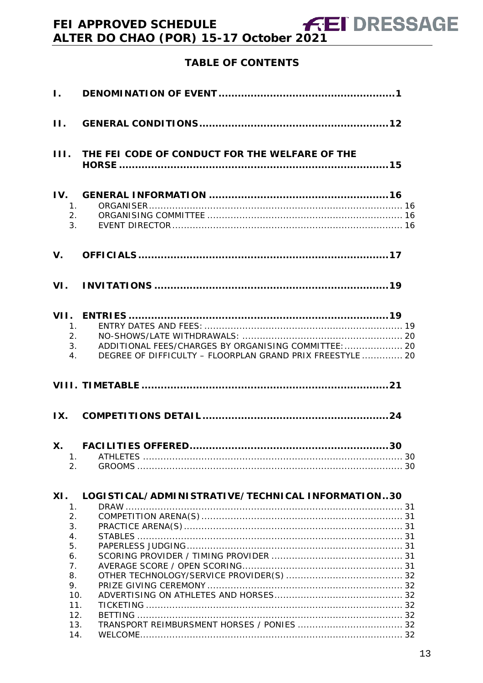## **TABLE OF CONTENTS**

| III.                             | THE FEI CODE OF CONDUCT FOR THE WELFARE OF THE                                                                          |
|----------------------------------|-------------------------------------------------------------------------------------------------------------------------|
| IV.<br>1.<br>3.                  | 2.                                                                                                                      |
| V.                               |                                                                                                                         |
|                                  |                                                                                                                         |
| $\mathbf{1}_{\cdot}$<br>2.<br>4. | ADDITIONAL FEES/CHARGES BY ORGANISING COMMITTEE:  20<br>3.<br>DEGREE OF DIFFICULTY - FLOORPLAN GRAND PRIX FREESTYLE  20 |
|                                  |                                                                                                                         |
|                                  |                                                                                                                         |
| <b>X.</b><br>1.<br>2.            |                                                                                                                         |
|                                  |                                                                                                                         |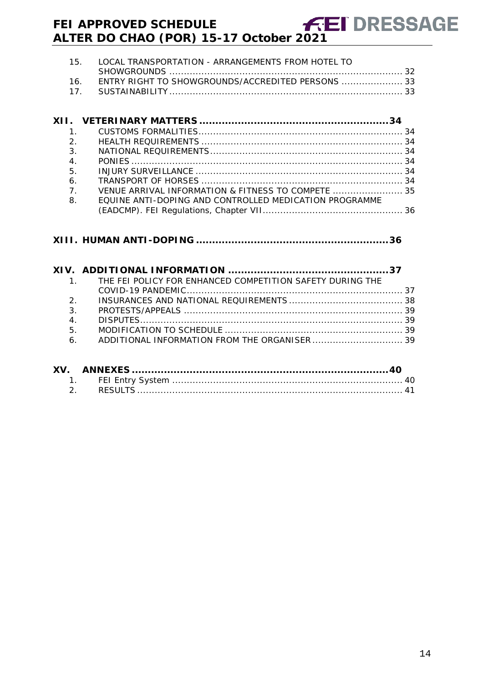|    | 15. LOCAL TRANSPORTATION - ARRANGEMENTS FROM HOTEL TO |
|----|-------------------------------------------------------|
|    |                                                       |
| 16 | ENTRY RIGHT TO SHOWGROUNDS/ACCREDITED PERSONS 33      |
|    |                                                       |

| 1.             |                                                        |  |
|----------------|--------------------------------------------------------|--|
| 2 <sup>1</sup> |                                                        |  |
| 3.             |                                                        |  |
| 4.             |                                                        |  |
| 5.             |                                                        |  |
| 6.             |                                                        |  |
| 7 <sub>1</sub> | VENUE ARRIVAL INFORMATION & FITNESS TO COMPETE  35     |  |
| 8.             | FOUINE ANTI-DOPING AND CONTROLLED MEDICATION PROGRAMME |  |
|                |                                                        |  |

## **XIII. HUMAN ANTI-DOPING [............................................................36](#page-35-1)**

|                | 1. THE FEI POLICY FOR ENHANCED COMPETITION SAFETY DURING THE |  |
|----------------|--------------------------------------------------------------|--|
|                |                                                              |  |
|                |                                                              |  |
| 3.             |                                                              |  |
| 4.             |                                                              |  |
| 5 <sub>1</sub> |                                                              |  |
|                |                                                              |  |
|                |                                                              |  |
|                |                                                              |  |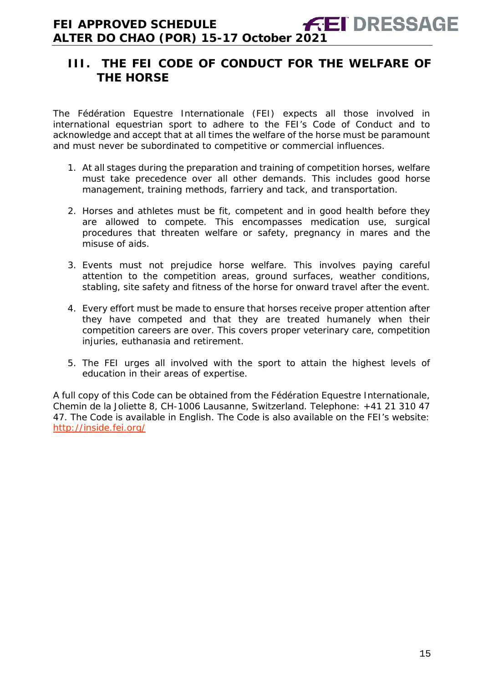## <span id="page-14-0"></span>**III. THE FEI CODE OF CONDUCT FOR THE WELFARE OF THE HORSE**

The Fédération Equestre Internationale (FEI) expects all those involved in international equestrian sport to adhere to the FEI's Code of Conduct and to acknowledge and accept that at all times the welfare of the horse must be paramount and must never be subordinated to competitive or commercial influences.

- 1. At all stages during the preparation and training of competition horses, welfare must take precedence over all other demands. This includes good horse management, training methods, farriery and tack, and transportation.
- 2. Horses and athletes must be fit, competent and in good health before they are allowed to compete. This encompasses medication use, surgical procedures that threaten welfare or safety, pregnancy in mares and the misuse of aids.
- 3. Events must not prejudice horse welfare. This involves paying careful attention to the competition areas, ground surfaces, weather conditions, stabling, site safety and fitness of the horse for onward travel after the event.
- 4. Every effort must be made to ensure that horses receive proper attention after they have competed and that they are treated humanely when their competition careers are over. This covers proper veterinary care, competition injuries, euthanasia and retirement.
- 5. The FEI urges all involved with the sport to attain the highest levels of education in their areas of expertise.

A full copy of this Code can be obtained from the Fédération Equestre Internationale, Chemin de la Joliette 8, CH-1006 Lausanne, Switzerland. Telephone: +41 21 310 47 47. The Code is available in English. The Code is also available on the FEI's website: <http://inside.fei.org/>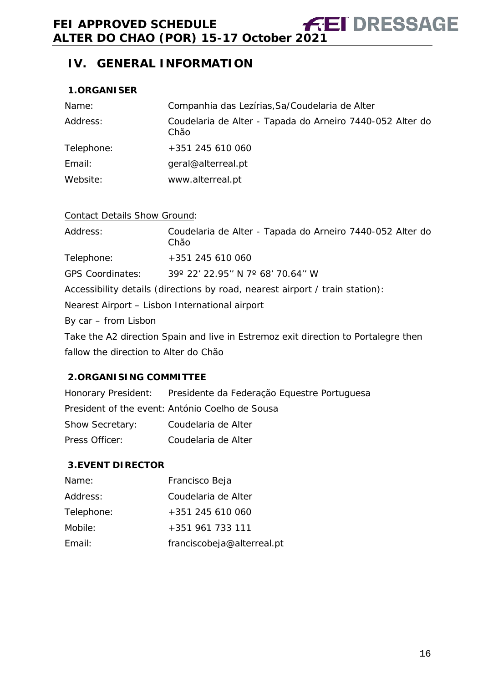## <span id="page-15-0"></span>**IV. GENERAL INFORMATION**

#### <span id="page-15-1"></span>**1.ORGANISER**

| Name:      | Companhia das Lezírias, Sa/Coudelaria de Alter                    |
|------------|-------------------------------------------------------------------|
| Address:   | Coudelaria de Alter - Tapada do Arneiro 7440-052 Alter do<br>Chão |
| Telephone: | +351 245 610 060                                                  |
| Email:     | geral@alterreal.pt                                                |
| Website:   | www.alterreal.pt                                                  |

#### Contact Details Show Ground:

| Address:                                                                           | Coudelaria de Alter - Tapada do Arneiro 7440-052 Alter do<br>Chão |  |  |  |  |  |
|------------------------------------------------------------------------------------|-------------------------------------------------------------------|--|--|--|--|--|
| Telephone:                                                                         | +351 245 610 060                                                  |  |  |  |  |  |
| <b>GPS Coordinates:</b>                                                            | 39° 22' 22.95" N 7° 68' 70.64" W                                  |  |  |  |  |  |
| Accessibility details (directions by road, nearest airport / train station):       |                                                                   |  |  |  |  |  |
| Nearest Airport - Lisbon International airport                                     |                                                                   |  |  |  |  |  |
| By car – from Lisbon                                                               |                                                                   |  |  |  |  |  |
| Take the A2 direction Spain and live in Estremoz exit direction to Portalegre then |                                                                   |  |  |  |  |  |
| fallow the direction to Alter do Chão                                              |                                                                   |  |  |  |  |  |

#### <span id="page-15-2"></span>**2.ORGANISING COMMITTEE**

|                        | Honorary President: Presidente da Federação Equestre Portuguesa |
|------------------------|-----------------------------------------------------------------|
|                        | President of the event: António Coelho de Sousa                 |
| <b>Show Secretary:</b> | Coudelaria de Alter                                             |
| Press Officer:         | Coudelaria de Alter                                             |

#### <span id="page-15-3"></span>**3.EVENT DIRECTOR**

| Name:      | Francisco Beja             |
|------------|----------------------------|
| Address:   | Coudelaria de Alter        |
| Telephone: | $+351$ 245 610 060         |
| Mobile:    | +351 961 733 111           |
| Email:     | franciscobeja@alterreal.pt |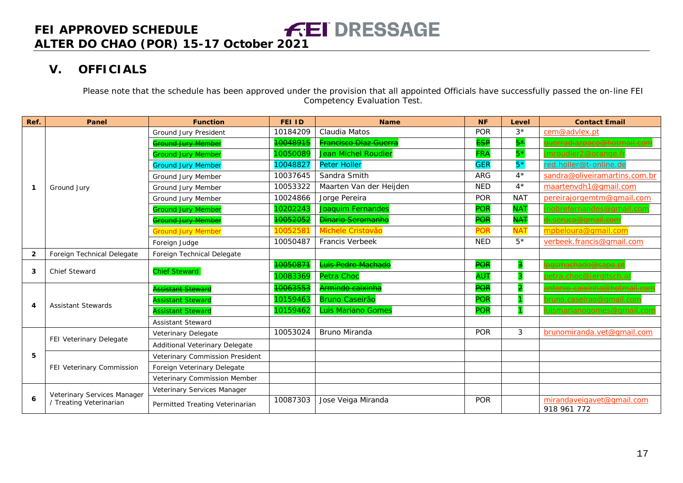## **V. OFFICIALS**

Please note that the schedule has been approved under the provision that all appointed Officials have successfully passed the on-line FEI Competency Evaluation Test.

<span id="page-16-0"></span>

| Ref.         | Panel                       | <b>Function</b>                 | <b>FEI ID</b> | <b>Name</b>                        | <b>NF</b>       | Level       | <b>Contact Email</b>                     |
|--------------|-----------------------------|---------------------------------|---------------|------------------------------------|-----------------|-------------|------------------------------------------|
|              |                             | Ground Jury President           | 10184209      | Claudia Matos                      | <b>POR</b>      | $3*$        | cem@advlex.pt                            |
|              |                             | <del>Ground Jury Membe</del>    | 10048915      | <mark>Francisco Diaz Guerra</mark> | E <del>SP</del> | $5*$        | <u>uerradiazpaco@hotmail.cor</u>         |
|              |                             | <b>Ground Jury Member</b>       | 10050089      | <b>Jean Michel Roudier</b>         | FRA             | $5*$        | mroudier2@orange.fr                      |
|              |                             | <b>Ground Jury Member</b>       | 10048827      | <b>Peter Holler</b>                | <b>GER</b>      | $5*$        | red.holler@t-online.de                   |
|              |                             | Ground Jury Member              | 10037645      | Sandra Smith                       | <b>ARG</b>      | $4^{\star}$ | sandra@oliveiramartins.com.br            |
| -1           | Ground Jury                 | Ground Jury Member              | 10053322      | Maarten Van der Heijden            | <b>NED</b>      | $4*$        | maartenvdh1@qmail.com                    |
|              |                             | Ground Jury Member              | 10024866      | Jorge Pereira                      | <b>POR</b>      | <b>NAT</b>  | pereirajorgemtm@gmail.com                |
|              |                             | <b>Ground Jury Member</b>       | 10202243      | Joaquim Fernandes                  | POR             | <b>NAT</b>  | <u>inobrefernandes@qmail.com</u>         |
|              |                             | <del>Ground Jury Member</del>   | 10052052      | <b>Dinario Seromanho</b>           | <b>POR</b>      | <b>NAT</b>  | <del>di.seruca@gmail.com</del>           |
|              |                             | <b>Ground Jury Member</b>       | 10052581      | Michele Cristovão                  | <b>POR</b>      | <b>NAT</b>  | mpbeloura@gmail.com                      |
|              |                             | Foreign Judge                   | 10050487      | Francis Verbeek                    | <b>NED</b>      | $5*$        | verbeek.francis@qmail.com                |
| $\mathbf{2}$ | Foreign Technical Delegate  | Foreign Technical Delegate      |               |                                    |                 |             |                                          |
|              | <b>Chief Steward</b>        |                                 | 10050871      | Luis Pedro Machado                 | <b>POR</b>      | з           | <del>)qsmachado@sapo.p</del>             |
| 3            |                             | <b>Chief Steward</b>            | 10083369      | Petra Choc                         | AU <sub>1</sub> |             | oetra.choc@jergitsch.af                  |
|              | <b>Assistant Stewards</b>   | <b>Ssistant Steward</b>         | 10063553      | Armindo caixinha                   | <b>POR</b>      | 2           | <u> Intonio-caixinha@hotmail.co</u>      |
|              |                             | <b>Assistant Steward</b>        | 10159463      | <b>Bruno Caseirão</b>              | <b>POR</b>      |             | oruno.caseirao@gmail.com                 |
| 4            |                             | Assistant Steward               | 10159462      | <b>Luis Mariano Gomes</b>          | <b>POR</b>      |             | uismarianogomes@gmail.com                |
|              |                             | <b>Assistant Steward</b>        |               |                                    |                 |             |                                          |
|              |                             | Veterinary Delegate             | 10053024      | Bruno Miranda                      | <b>POR</b>      | 3           | brunomiranda.vet@gmail.com               |
|              | FEI Veterinary Delegate     | Additional Veterinary Delegate  |               |                                    |                 |             |                                          |
| 5            |                             | Veterinary Commission President |               |                                    |                 |             |                                          |
|              | FEI Veterinary Commission   | Foreign Veterinary Delegate     |               |                                    |                 |             |                                          |
|              |                             | Veterinary Commission Member    |               |                                    |                 |             |                                          |
|              | Veterinary Services Manager | Veterinary Services Manager     |               |                                    |                 |             |                                          |
| 6            | / Treating Veterinarian     | Permitted Treating Veterinarian | 10087303      | Jose Veiga Miranda                 | <b>POR</b>      |             | mirandaveigavet@gmail.com<br>918 961 772 |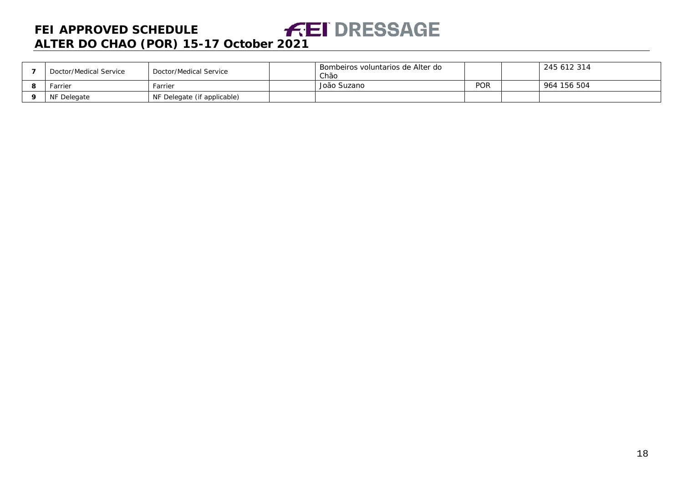| Doctor/Medical Service | Doctor/Medical Service      | Bombeiros voluntarios de Alter do<br>Chão |            | 245 612 314 |
|------------------------|-----------------------------|-------------------------------------------|------------|-------------|
| Farrier                | Farrier                     | João Suzano                               | <b>POR</b> | 964 156 504 |
| NF Delegate            | NF Delegate (if applicable) |                                           |            |             |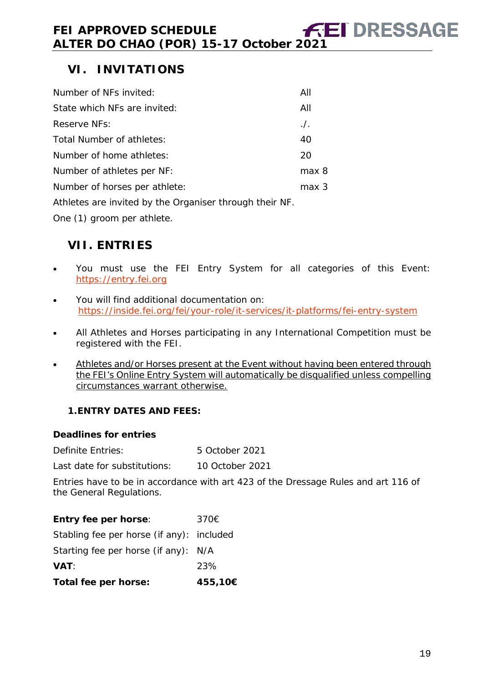<span id="page-18-0"></span>

| Number of NFs invited:        | All          |
|-------------------------------|--------------|
| State which NFs are invited:  | All          |
| Reserve NFs:                  | $\sqrt{ }$ . |
| Total Number of athletes:     | 40           |
| Number of home athletes:      | 20           |
| Number of athletes per NF:    | max 8        |
| Number of horses per athlete: | max 3        |
|                               |              |

Athletes are invited by the Organiser through their NF.

One (1) groom per athlete.

## <span id="page-18-1"></span>**VII. ENTRIES**

- You must use the FEI Entry System for all categories of this Event: [https://entry.fei.org](https://entry.fei.org/)
- You will find additional documentation on: <https://inside.fei.org/fei/your-role/it-services/it-platforms/fei-entry-system>
- All Athletes and Horses participating in any International Competition must be registered with the FEI.
- Athletes and/or Horses present at the Event without having been entered through the FEI's Online Entry System will automatically be disqualified unless compelling circumstances warrant otherwise.

## <span id="page-18-2"></span>**1.ENTRY DATES AND FEES:**

#### **Deadlines for entries**

| Definite Entries: | 5 October 2021 |
|-------------------|----------------|
|                   |                |

Last date for substitutions: 10 October 2021

Entries have to be in accordance with art 423 of the Dressage Rules and art 116 of the General Regulations.

## **Entry fee per horse**: 370€

|  |  | Stabling fee per horse (if any): included |
|--|--|-------------------------------------------|
|  |  |                                           |

| Starting fee per horse (if any): N/A |
|--------------------------------------|
|                                      |

| <b>VAT:</b> | 23% |
|-------------|-----|
|             |     |

**Total fee per horse: 455,10€**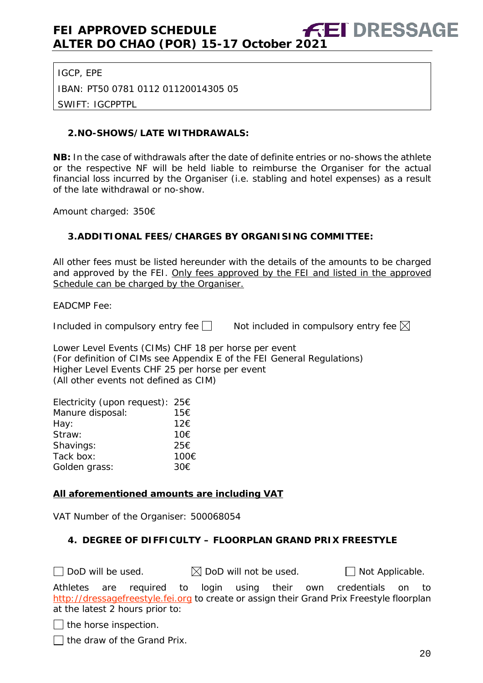IGCP, EPE

IBAN: PT50 0781 0112 01120014305 05

SWIFT: IGCPPTPL

#### <span id="page-19-0"></span>**2.NO-SHOWS/LATE WITHDRAWALS:**

**NB:** In the case of withdrawals after the date of definite entries or no-shows the athlete or the respective NF will be held liable to reimburse the Organiser for the actual financial loss incurred by the Organiser (i.e. stabling and hotel expenses) as a result of the late withdrawal or no-show.

Amount charged: 350€

#### <span id="page-19-1"></span>**3.ADDITIONAL FEES/CHARGES BY ORGANISING COMMITTEE:**

All other fees must be listed hereunder with the details of the amounts to be charged and approved by the FEI. Only fees approved by the FEI and listed in the approved Schedule can be charged by the Organiser.

EADCMP Fee:

Included in compulsory entry fee  $\Box$  Not included in compulsory entry fee  $\boxtimes$ 

Lower Level Events (CIMs) CHF 18 per horse per event (For definition of CIMs see Appendix E of the FEI General Regulations) Higher Level Events CHF 25 per horse per event (All other events not defined as CIM)

| Electricity (upon request): $25 \in$ |      |
|--------------------------------------|------|
| Manure disposal:                     | 15€  |
| Hay:                                 | 12€  |
| Straw:                               | 10€  |
| Shavings:                            | 25€  |
| Tack box:                            | 100€ |
| Golden grass:                        | 30€  |

#### **All aforementioned amounts are including VAT**

VAT Number of the Organiser: 500068054

#### <span id="page-19-2"></span>**4. DEGREE OF DIFFICULTY – FLOORPLAN GRAND PRIX FREESTYLE**

 $\Box$  DoD will be used.  $\boxtimes$  DoD will not be used.  $\Box$  Not Applicable.

Athletes are required to login using their own credentials on to [http://dressagefreestyle.fei.org](http://dressagefreestyle.fei.org/) to create or assign their Grand Prix Freestyle floorplan at the latest 2 hours prior to:

 $\Box$  the horse inspection.

 $\Box$  the draw of the Grand Prix.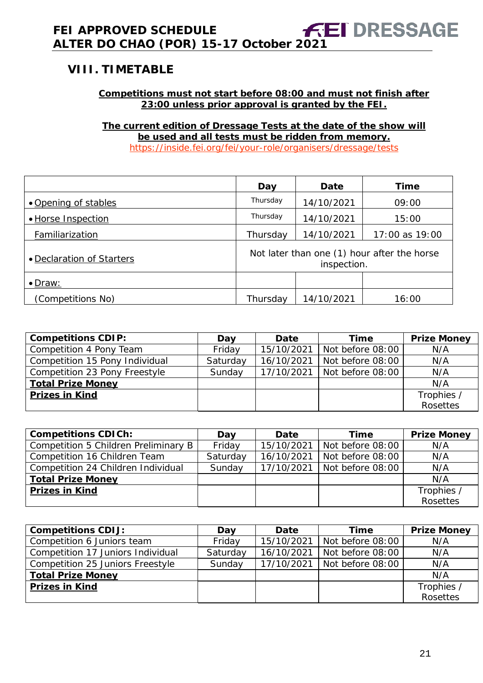## <span id="page-20-0"></span>**VIII. TIMETABLE**

#### **Competitions must not start before 08:00 and must not finish after 23:00 unless prior approval is granted by the FEI.**

**The current edition of Dressage Tests at the date of the show will be used and all tests must be ridden from memory.** <https://inside.fei.org/fei/your-role/organisers/dressage/tests>

|                           | Day                                                        | <b>Date</b> | <b>Time</b>    |
|---------------------------|------------------------------------------------------------|-------------|----------------|
| • Opening of stables      | Thursday                                                   | 14/10/2021  | 09:00          |
| • Horse Inspection        | Thursday                                                   | 14/10/2021  | 15:00          |
| Familiarization           | Thursday                                                   | 14/10/2021  | 17:00 as 19:00 |
| • Declaration of Starters | Not later than one (1) hour after the horse<br>inspection. |             |                |
| $\bullet$ Draw:           |                                                            |             |                |
| (Competitions No)         | Thursday                                                   | 14/10/2021  | 16:00          |

| <b>Competitions CDIP:</b>      | Day      | Date       | Time             | <b>Prize Money</b> |
|--------------------------------|----------|------------|------------------|--------------------|
| Competition 4 Pony Team        | Friday   | 15/10/2021 | Not before 08:00 | N/A                |
| Competition 15 Pony Individual | Saturday | 16/10/2021 | Not before 08:00 | N/A                |
| Competition 23 Pony Freestyle  | Sunday   | 17/10/2021 | Not before 08:00 | N/A                |
| <b>Total Prize Money</b>       |          |            |                  | N/A                |
| <b>Prizes in Kind</b>          |          |            |                  | Trophies /         |
|                                |          |            |                  | Rosettes           |

| <b>Competitions CDICh:</b>           | Day      | Date       | <b>Time</b>      | <b>Prize Money</b> |
|--------------------------------------|----------|------------|------------------|--------------------|
| Competition 5 Children Preliminary B | Friday   | 15/10/2021 | Not before 08:00 | N/A                |
| Competition 16 Children Team         | Saturday | 16/10/2021 | Not before 08:00 | N/A                |
| Competition 24 Children Individual   | Sunday   | 17/10/2021 | Not before 08:00 | N/A                |
| <b>Total Prize Money</b>             |          |            |                  | N/A                |
| <b>Prizes in Kind</b>                |          |            |                  | Trophies /         |
|                                      |          |            |                  | Rosettes           |

| <b>Competitions CDIJ:</b>         | Day      | Date       | Time             | <b>Prize Money</b> |
|-----------------------------------|----------|------------|------------------|--------------------|
| Competition 6 Juniors team        | Friday   | 15/10/2021 | Not before 08:00 | N/A                |
| Competition 17 Juniors Individual | Saturday | 16/10/2021 | Not before 08:00 | N/A                |
| Competition 25 Juniors Freestyle  | Sunday   | 17/10/2021 | Not before 08:00 | N/A                |
| <b>Total Prize Money</b>          |          |            |                  | N/A                |
| <b>Prizes in Kind</b>             |          |            |                  | Trophies /         |
|                                   |          |            |                  | Rosettes           |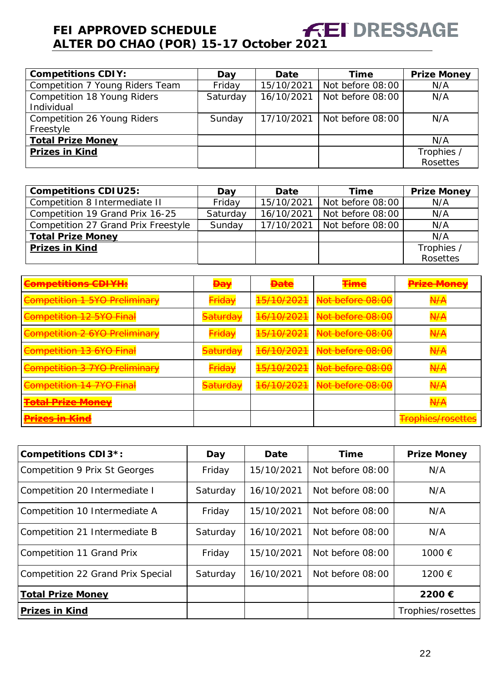| <b>Competitions CDIY:</b>       | Day      | Date       | Time                          | <b>Prize Money</b> |
|---------------------------------|----------|------------|-------------------------------|--------------------|
| Competition 7 Young Riders Team | Friday   | 15/10/2021 | Not before 08:00              | N/A                |
| Competition 18 Young Riders     | Saturday | 16/10/2021 | Not before 08:00              | N/A                |
| Individual                      |          |            |                               |                    |
| Competition 26 Young Riders     | Sunday   |            | 17/10/2021   Not before 08:00 | N/A                |
| Freestyle                       |          |            |                               |                    |
| <b>Total Prize Money</b>        |          |            |                               | N/A                |
| <b>Prizes in Kind</b>           |          |            |                               | Trophies /         |
|                                 |          |            |                               | Rosettes           |

| <b>Competitions CDIU25:</b>         | Day      | Date       | <b>Time</b>      | <b>Prize Money</b> |
|-------------------------------------|----------|------------|------------------|--------------------|
| Competition 8 Intermediate II       | Friday   | 15/10/2021 | Not before 08:00 | N/A                |
| Competition 19 Grand Prix 16-25     | Saturday | 16/10/2021 | Not before 08:00 | N/A                |
| Competition 27 Grand Prix Freestyle | Sunday   | 17/10/2021 | Not before 08:00 | N/A                |
| <b>Total Prize Money</b>            |          |            |                  | N/A                |
| <b>Prizes in Kind</b>               |          |            |                  | Trophies /         |
|                                     |          |            |                  | <b>Rosettes</b>    |

| <b>Competitions CDIYH:</b>                         | <b>Day</b>          | <del>Date</del>                            | ممعنت<br>шпе                                        | <b>Prize Money</b>                |
|----------------------------------------------------|---------------------|--------------------------------------------|-----------------------------------------------------|-----------------------------------|
| Competition 1 5YO Preliminary                      | <b>Friday</b>       | <u>15/10/2021</u><br><del>19710/z0z1</del> | Not before 08:00                                    | $\overline{N}$<br><del>N77</del>  |
| <b>Competition 12 5YO Final</b>                    | <del>Saturday</del> | 16/10/2021                                 | Not before 08:00                                    | N/A                               |
| Competition 2 6YO Preliminary                      | <b>Friday</b>       | 15/10/2021<br><del>19710/z0z1</del>        | Not before 08:00                                    | $\overline{N}$<br><del>N771</del> |
| Competition 13 6YO Final                           | <del>Saturday</del> | 16/10/2021                                 | Not before 08:00                                    | N/A<br><del>N77</del>             |
| <b>Competition 3 7YO Preliminary</b>               | <b>Friday</b>       | 1E/10/2021<br>TJ/TU/ZUZT                   | Not before 08:00                                    | $\overline{N}$<br><del>N77</del>  |
| <b>Competition 14 7YO Final</b>                    | <del>Saturday</del> | $16/10/2021$<br><del>10/10/2021</del>      | $N$ at hoforo $0.00$<br><del>noi belore oo.oo</del> | A/H                               |
| <b>Total Drize Money</b><br><u>TURITTIKU MUTUV</u> |                     |                                            |                                                     | A/H                               |
| Driano in Kind<br><u>FIZGS III KING</u>            |                     |                                            |                                                     | <b>Trophies/rosettes</b>          |

| <b>Competitions CDI3*:</b>        | Day      | <b>Date</b> | Time             | <b>Prize Money</b> |
|-----------------------------------|----------|-------------|------------------|--------------------|
| Competition 9 Prix St Georges     | Friday   | 15/10/2021  | Not before 08:00 | N/A                |
| Competition 20 Intermediate I     | Saturday | 16/10/2021  | Not before 08:00 | N/A                |
| Competition 10 Intermediate A     | Friday   | 15/10/2021  | Not before 08:00 | N/A                |
| Competition 21 Intermediate B     | Saturday | 16/10/2021  | Not before 08:00 | N/A                |
| <b>Competition 11 Grand Prix</b>  | Friday   | 15/10/2021  | Not before 08:00 | 1000 €             |
| Competition 22 Grand Prix Special | Saturday | 16/10/2021  | Not before 08:00 | 1200 €             |
| <b>Total Prize Money</b>          |          |             |                  | 2200€              |
| <b>Prizes in Kind</b>             |          |             |                  | Trophies/rosettes  |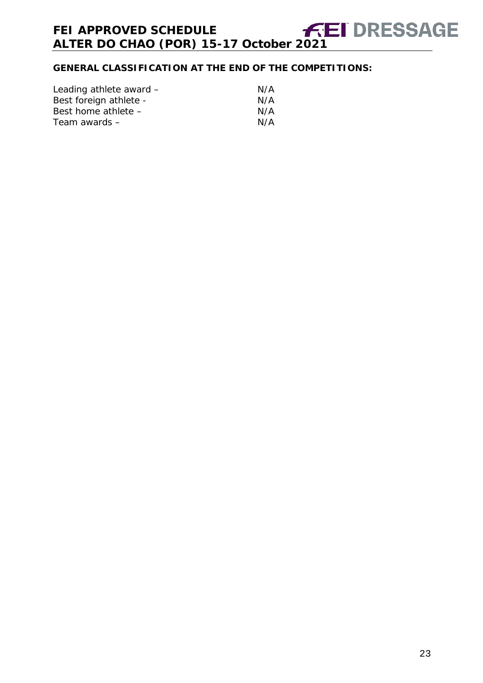## **GENERAL CLASSIFICATION AT THE END OF THE COMPETITIONS:**

| Leading athlete award - | N/A |
|-------------------------|-----|
| Best foreign athlete -  | N/A |
| Best home athlete -     | N/A |
| Team awards –           | N/A |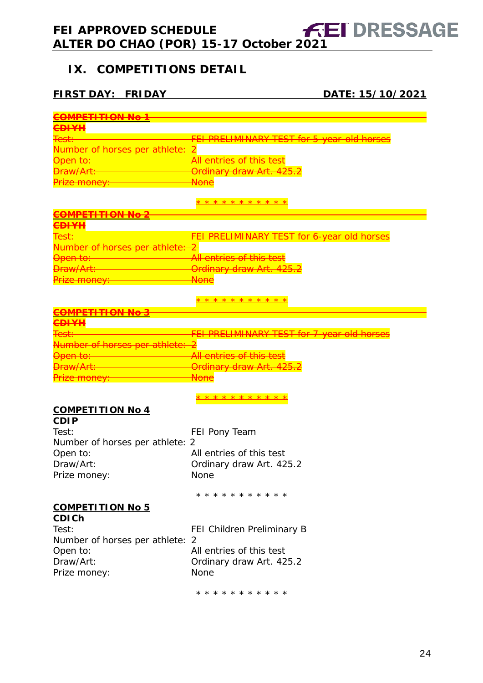## <span id="page-23-0"></span>**IX. COMPETITIONS DETAIL**

## **FIRST DAY: FRIDAY DATE: 15/10/2021**

| <del>COMPETITION No</del>                |                                                   |
|------------------------------------------|---------------------------------------------------|
| <b>CDIYH</b>                             |                                                   |
| <del>Test:</del>                         | <b>FEI PRELIMINARY TEST for 5-year-old horse</b>  |
|                                          |                                                   |
| <del>Number of horses per athlete:</del> |                                                   |
| <del>Open to:-</del>                     | All entries of this test                          |
| <del>Draw/Art:</del>                     | Ordinary draw Art. 425.2                          |
| Prize money:                             | <del>None</del>                                   |
|                                          | * * * * * * * * * * *                             |
| <del>COMPETITION No 2</del>              |                                                   |
| <del>CDIYH</del>                         |                                                   |
|                                          | <b>FEI PRELIMINARY TEST for 6-year old horses</b> |
| <del>Number of horses per athlete:</del> |                                                   |
| <del>Open to:-</del>                     | <del>All entries of this test</del>               |
| <b>Draw/Art:</b>                         | <del>Ordinary draw Art. 425.2</del>               |
| Prize money: —                           | <b>None</b>                                       |
|                                          |                                                   |
|                                          | * * * * * * * * * * *                             |
| <b>COMPETITION No</b>                    |                                                   |
| <b>CDIYH</b>                             |                                                   |
| <del>Test:</del>                         | FEI PRELIMINARY TEST for 7-year old horses        |
| Number of horses per athlete             |                                                   |
| <del>Open to:-</del>                     | All entries of this test                          |
| Draw/Art:                                | <del>Ordinary draw Art. 425.2</del>               |
| <del>Prize money: ____</del>             | <b>None</b>                                       |
|                                          |                                                   |
|                                          | * * * * * <u>* * * * *</u>                        |
| <b>COMPETITION No 4</b>                  |                                                   |
| <b>CDIP</b>                              |                                                   |
| Test:                                    |                                                   |
|                                          | FEI Pony Team                                     |
| Number of horses per athlete: 2          |                                                   |
| Open to:                                 | All entries of this test                          |
| Draw/Art:                                | Ordinary draw Art. 425.2                          |
| Prize money:                             | None                                              |
|                                          | * * * * * * * * * * *                             |
|                                          |                                                   |
| <b>COMPETITION No 5</b><br><b>CDICh</b>  |                                                   |
|                                          |                                                   |
| Test:                                    | FEI Children Preliminary B                        |
| Number of horses per athlete:            | 2                                                 |
| Open to:                                 | All entries of this test                          |
| Draw/Art:                                | Ordinary draw Art. 425.2                          |
| Prize money:                             | None                                              |
|                                          |                                                   |
|                                          | * * * * * * * * * * *                             |
|                                          |                                                   |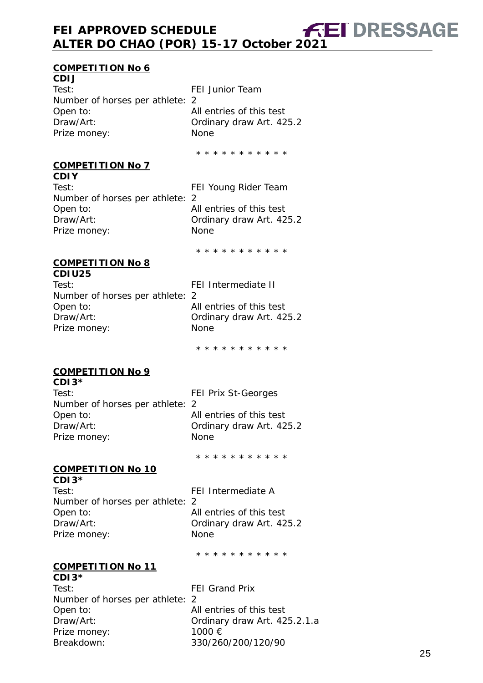#### **COMPETITION No 6**

**CDIJ** Test: FEI Junior Team Number of horses per athlete: 2 Open to: All entries of this test<br>Draw/Art: Cordinary draw Art. 42 Ordinary draw Art. 425.2 Prize money: None

\* \* \* \* \* \* \* \* \* \* \*

#### **COMPETITION No 7**

**CDIY** Test: FEI Young Rider Team Number of horses per athlete: 2 Open to: All entries of this test Draw/Art: **Draw/Art: Ordinary draw Art. 425.2** Prize money: None

\* \* \* \* \* \* \* \* \* \* \*

#### **COMPETITION No 8 CDIU25**

| Test:                           | FEI Intermediate II      |
|---------------------------------|--------------------------|
| Number of horses per athlete: 2 |                          |
| Open to:                        | All entries of this test |
| Draw/Art:                       | Ordinary draw Art. 425.2 |
| Prize money:                    | <b>None</b>              |
|                                 |                          |

\* \* \* \* \* \* \* \* \* \* \*

#### **COMPETITION No 9**

| $CDI3*$                         |                            |
|---------------------------------|----------------------------|
| Test:                           | <b>FEI Prix St-Georges</b> |
| Number of horses per athlete: 2 |                            |
| Open to:                        | All entries of this test   |
| Draw/Art:                       | Ordinary draw Art. 425.2   |
| Prize money:                    | <b>None</b>                |
|                                 |                            |

\* \* \* \* \* \* \* \* \* \* \*

#### **COMPETITION No 10**

**CDI3\*** Test: Test: Test: FEI Intermediate A Number of horses per athlete: 2 Open to: and all entries of this test Draw/Art: **Draw/Art: Ordinary draw Art. 425.2** Prize money: None

\* \* \* \* \* \* \* \* \* \* \*

#### **COMPETITION No 11 CDI3\***

Test: FEI Grand Prix Number of horses per athlete: 2 Open to: and All entries of this test Draw/Art: Ordinary draw Art. 425.2.1.a Prize money: 1000 € Breakdown: 330/260/200/120/90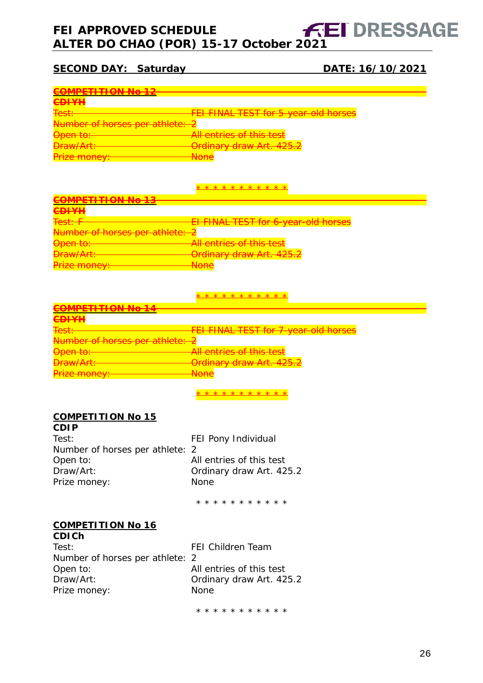## **FEI APPROVED SCHEDULE ALTER DO CHAO (POR) 15-17 October 2021**

## **SECOND DAY: Saturday DATE: 16/10/2021**

| COMPETITION NA 10                                     |                                                              |
|-------------------------------------------------------|--------------------------------------------------------------|
|                                                       |                                                              |
| <u>ANIVII</u><br>$\overline{\phantom{a}}$             |                                                              |
|                                                       |                                                              |
| $T \cap \cap +$                                       | <b>FEI FINAL TEST for 5-year-old horses</b>                  |
|                                                       |                                                              |
| <del>Number of horses per athlete: 2</del>            |                                                              |
| <del>Open to:</del>                                   | All entries of this test                                     |
|                                                       |                                                              |
| $D_{\text{max}}/A_{\text{min}}$<br><del>Didwinu</del> | Ordinary draw Art 1252<br><del>orumary uraw Art. 425.2</del> |
| Dirization                                            | <b>Nono</b>                                                  |
| <u>FIZU HUIUV.</u>                                    | wurc                                                         |

\* \* \* \* \* \* \* \* \* \* \*

| COMPETITION NA 12<br><u>JIVII LITTI UN INU TJ</u>    |                                                                  |
|------------------------------------------------------|------------------------------------------------------------------|
| <b>COUVIL</b><br>$\overline{\phantom{a}}$            |                                                                  |
| $T \circ \circ$ + $\cdot$ $\Box$                     | El FINAL TEST for 6-year-old horses                              |
| Number of horses per athlete: 2                      |                                                                  |
| $\bigcap_{n\geq n}$ to $\cdot$<br><del>טערו זא</del> | All entries of this test                                         |
| $D_{\text{FOM}}/Arf$ .<br><b>DI GWZALE</b>           | $Ordinom/dronu$ Art $1959$<br><del>Urumary uraw Art. 425.2</del> |
| $l$ riza manav<br><u>IILC IIIUIICY.</u>              | <b>Nono</b><br><b>NUTIC</b>                                      |

\* \* \* \* \* \* \* \* \* \* \*

| $\overline{M}$ $\overline{T}$ $\overline{T}$ $\overline{T}$ $\overline{M}$ $\overline{M}$ $\overline{M}$ $\overline{M}$ |                                                               |
|-------------------------------------------------------------------------------------------------------------------------|---------------------------------------------------------------|
|                                                                                                                         |                                                               |
| <b>CDIVII</b><br>$\sqrt{2}$                                                                                             |                                                               |
| Toet.                                                                                                                   | <b>FEI FINAL TEST for 7-year-old horses</b>                   |
| T <del>ost.</del>                                                                                                       |                                                               |
| Number of horses per athlete: 2                                                                                         |                                                               |
| Onon to:<br><del>open to.</del>                                                                                         | All entries of this test                                      |
| $D_{\text{FOM}}/Arf$ .<br><del>DI aw Art.</del>                                                                         | Ordinary draw Art 125 2<br><del>orumary uraw Art. 429.2</del> |
| maxmax<br><u>TIZU TITUTIU YT</u>                                                                                        | N<br>סו ושנו                                                  |
|                                                                                                                         |                                                               |

\* \* \* \* \* \* \* \* \* \* \*

#### **COMPETITION No 15**

| <b>CDIP</b>                     |                          |
|---------------------------------|--------------------------|
| Test:                           | FEI Pony Individual      |
| Number of horses per athlete: 2 |                          |
| Open to:                        | All entries of this test |
| Draw/Art:                       | Ordinary draw Art. 425.2 |
| Prize money:                    | <b>None</b>              |
|                                 |                          |

\* \* \* \* \* \* \* \* \* \* \*

#### **COMPETITION No 16 CDICh**

| vuun                            |                          |
|---------------------------------|--------------------------|
| Test:                           | <b>FEI Children Team</b> |
| Number of horses per athlete: 2 |                          |
| Open to:                        | All entries of this test |
| Draw/Art:                       | Ordinary draw Art. 425.2 |
| Prize money:                    | <b>None</b>              |
|                                 |                          |

\* \* \* \* \* \* \* \* \* \* \*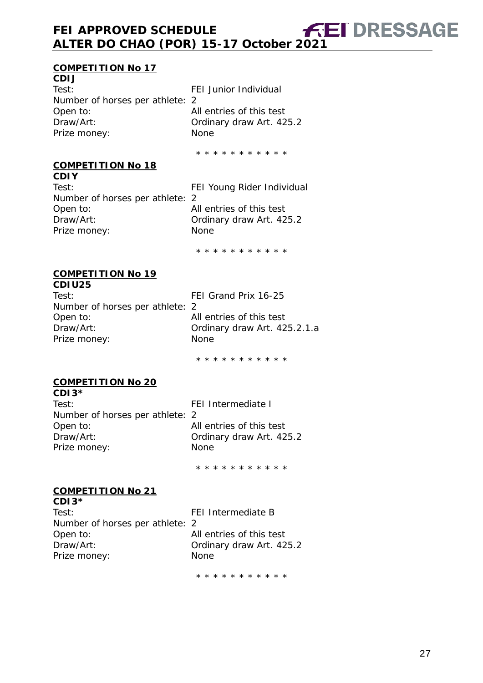#### **COMPETITION No 17**

**CDIJ** Test: FEI Junior Individual Number of horses per athlete: 2 Open to: All entries of this test<br>Draw/Art: Cordinary draw Art. 42 Prize money: None

Ordinary draw Art. 425.2

\* \* \* \* \* \* \* \* \* \* \*

#### **COMPETITION No 18**

**CDIY** Test: Test: FEI Young Rider Individual Number of horses per athlete: 2 Open to: All entries of this test Draw/Art: **Draw/Art: Ordinary draw Art. 425.2** Prize money: None

\* \* \* \* \* \* \* \* \* \* \*

#### **COMPETITION No 19 CDIU25**

| Test:                           | FEI Grand Prix 16-25         |
|---------------------------------|------------------------------|
| Number of horses per athlete: 2 |                              |
| Open to:                        | All entries of this test     |
| Draw/Art:                       | Ordinary draw Art. 425.2.1.a |
| Prize money:                    | <b>None</b>                  |
|                                 |                              |
|                                 |                              |

\* \* \* \* \* \* \* \* \* \* \*

#### **COMPETITION No 20 CDI3\***

| <b>UDIJ</b>                     |                          |
|---------------------------------|--------------------------|
| Test:                           | FEI Intermediate I       |
| Number of horses per athlete: 2 |                          |
| Open to:                        | All entries of this test |
| Draw/Art:                       | Ordinary draw Art. 425.2 |
| Prize money:                    | <b>None</b>              |
|                                 |                          |

\* \* \* \* \* \* \* \* \* \* \*

#### **COMPETITION No 21**

| $CDI3*$                         |                          |
|---------------------------------|--------------------------|
| Test:                           | FEI Intermediate B       |
| Number of horses per athlete: 2 |                          |
| Open to:                        | All entries of this test |
| Draw/Art:                       | Ordinary draw Art. 425.2 |
| Prize money:                    | <b>None</b>              |

\* \* \* \* \* \* \* \* \* \* \*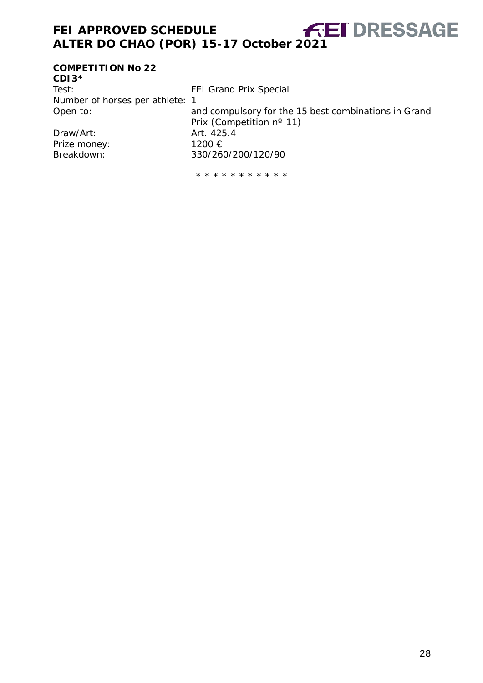## **COMPETITION No 22**

| $CDI3*$                         |                                                      |
|---------------------------------|------------------------------------------------------|
| Test:                           | <b>FEI Grand Prix Special</b>                        |
| Number of horses per athlete: 1 |                                                      |
| Open to:                        | and compulsory for the 15 best combinations in Grand |
|                                 | Prix (Competition nº 11)                             |
| Draw/Art:                       | Art. 425.4                                           |
| Prize money:                    | 1200 €                                               |
| Breakdown:                      | 330/260/200/120/90                                   |
|                                 |                                                      |

\* \* \* \* \* \* \* \* \* \* \*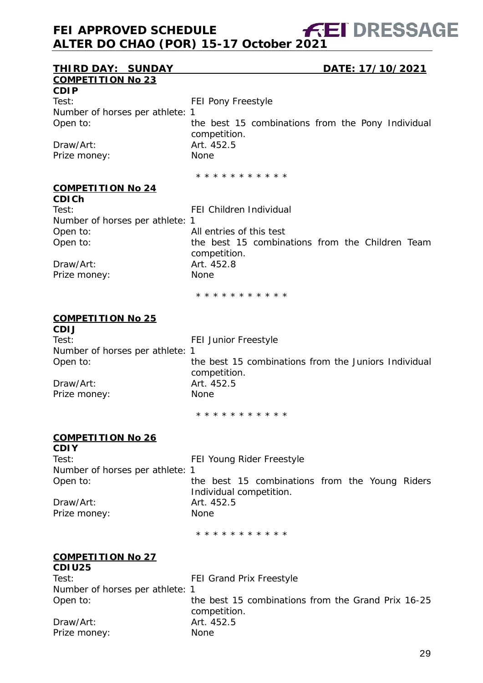#### **THIRD DAY: SUNDAY DATE: 17/10/2021 COMPETITION No 23**

**CDIP** Test: Test: FEI Pony Freestyle Number of horses per athlete: 1

Draw/Art: 2002.000 Art. 452.5 Prize money: None

Open to: the best 15 combinations from the Pony Individual competition.

\* \* \* \* \* \* \* \* \* \* \*

#### **COMPETITION No 24**

**CDICh** Test: Test: FEI Children Individual Number of horses per athlete: 1 Open to: All entries of this test Open to: the best 15 combinations from the Children Team competition. Draw/Art: Art. 452.8 Prize money: None

\* \* \* \* \* \* \* \* \* \* \*

#### **COMPETITION No 25**

**CDIJ** Test: Test: FEI Junior Freestyle Number of horses per athlete: 1 Open to: the best 15 combinations from the Juniors Individual competition. Draw/Art: 2012 12:00 Art. 452.5 Prize money: None \* \* \* \* \* \* \* \* \* \* \*

#### **COMPETITION No 26**

**CDIY** Test: Test: FEI Young Rider Freestyle Number of horses per athlete: 1 Open to: the best 15 combinations from the Young Riders Individual competition. Draw/Art: 2002.5 Prize money: None

\* \* \* \* \* \* \* \* \* \* \*

#### **COMPETITION No 27 CDIU25**

| <b>UDIUZJ</b>                   |                                                                    |  |  |  |
|---------------------------------|--------------------------------------------------------------------|--|--|--|
| Test:                           | FEI Grand Prix Freestyle                                           |  |  |  |
| Number of horses per athlete: 1 |                                                                    |  |  |  |
| Open to:                        | the best 15 combinations from the Grand Prix 16-25<br>competition. |  |  |  |
| Draw/Art:                       | Art. 452.5                                                         |  |  |  |
| Prize money:                    | <b>None</b>                                                        |  |  |  |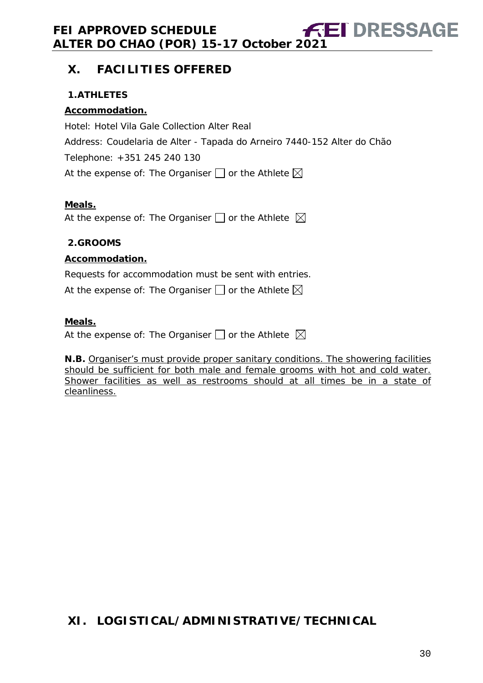## <span id="page-29-0"></span>**X. FACILITIES OFFERED**

### <span id="page-29-1"></span>**1.ATHLETES**

### **Accommodation.**

Hotel: Hotel Vila Gale Collection Alter Real Address: Coudelaria de Alter - Tapada do Arneiro 7440-152 Alter do Chão Telephone: +351 245 240 130 At the expense of: The Organiser  $\square$  or the Athlete  $\boxtimes$ 

#### **Meals.**

At the expense of: The Organiser  $\Box$  or the Athlete  $\boxtimes$ 

#### <span id="page-29-2"></span>**2.GROOMS**

#### **Accommodation.**

Requests for accommodation must be sent with entries.

At the expense of: The Organiser  $\Box$  or the Athlete  $\boxtimes$ 

#### **Meals.**

At the expense of: The Organiser  $\square$  or the Athlete  $\boxtimes$ 

**N.B.** Organiser's must provide proper sanitary conditions. The showering facilities should be sufficient for both male and female grooms with hot and cold water. Shower facilities as well as restrooms should at all times be in a state of cleanliness.

## <span id="page-29-3"></span>**XI. LOGISTICAL/ADMINISTRATIVE/TECHNICAL**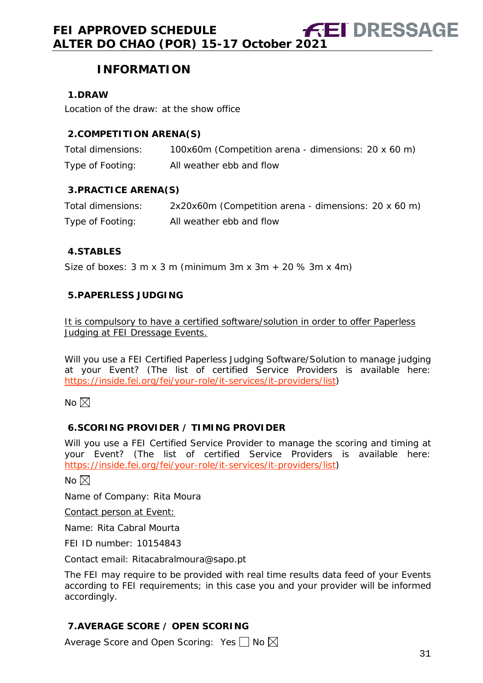## **INFORMATION**

#### <span id="page-30-0"></span>**1.DRAW**

Location of the draw: at the show office

#### <span id="page-30-1"></span>**2.COMPETITION ARENA(S)**

| Total dimensions: | 100x60m (Competition arena - dimensions: 20 x 60 m) |
|-------------------|-----------------------------------------------------|
| Type of Footing:  | All weather ebb and flow                            |

#### <span id="page-30-2"></span>**3.PRACTICE ARENA(S)**

| Total dimensions: | 2x20x60m (Competition arena - dimensions: 20 x 60 m) |
|-------------------|------------------------------------------------------|
| Type of Footing:  | All weather ebb and flow                             |

#### <span id="page-30-3"></span>**4.STABLES**

Size of boxes:  $3 \text{ m} \times 3 \text{ m}$  (minimum  $3 \text{ m} \times 3 \text{ m} + 20 \% 3 \text{ m} \times 4 \text{ m}$ )

#### <span id="page-30-4"></span>**5.PAPERLESS JUDGING**

It is compulsory to have a certified software/solution in order to offer Paperless Judging at FEI Dressage Events.

Will you use a FEI Certified Paperless Judging Software/Solution to manage judging at your Event? (The list of certified Service Providers is available here: [https://inside.fei.org/fei/your-role/it-services/it-providers/list\)](https://inside.fei.org/fei/your-role/it-services/it-providers/list)

No  $\boxtimes$ 

#### <span id="page-30-5"></span>**6.SCORING PROVIDER / TIMING PROVIDER**

Will you use a FEI Certified Service Provider to manage the scoring and timing at your Event? (The list of certified Service Providers is available here: [https://inside.fei.org/fei/your-role/it-services/it-providers/list\)](https://inside.fei.org/fei/your-role/it-services/it-providers/list)

No  $\boxtimes$ 

Name of Company: Rita Moura

Contact person at Event:

Name: Rita Cabral Mourta

FEI ID number: 10154843

Contact email: Ritacabralmoura@sapo.pt

The FEI may require to be provided with real time results data feed of your Events according to FEI requirements; in this case you and your provider will be informed accordingly.

#### <span id="page-30-6"></span>**7.AVERAGE SCORE / OPEN SCORING**

Average Score and Open Scoring: Yes  $\Box$  No  $\boxtimes$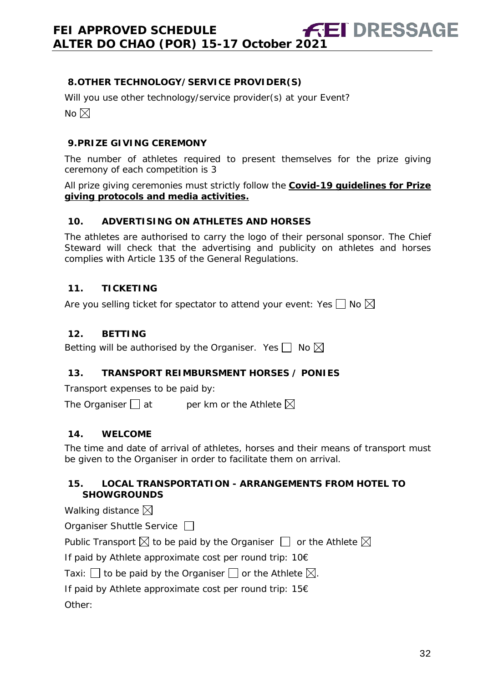#### <span id="page-31-0"></span>**8.OTHER TECHNOLOGY/SERVICE PROVIDER(S)**

Will you use other technology/service provider(s) at your Event? No  $\boxtimes$ 

#### <span id="page-31-1"></span>**9.PRIZE GIVING CEREMONY**

The number of athletes required to present themselves for the prize giving ceremony of each competition is 3

All prize giving ceremonies must strictly follow the **Covid-19 guidelines for Prize giving protocols and media activities.**

#### <span id="page-31-2"></span>**10. ADVERTISING ON ATHLETES AND HORSES**

The athletes are authorised to carry the logo of their personal sponsor. The Chief Steward will check that the advertising and publicity on athletes and horses complies with Article 135 of the General Regulations.

#### <span id="page-31-3"></span>**11. TICKETING**

Are you selling ticket for spectator to attend your event: Yes  $\Box$  No  $\boxtimes$ 

#### <span id="page-31-4"></span>**12. BETTING**

Betting will be authorised by the Organiser. Yes  $\Box$  No  $\boxtimes$ 

#### <span id="page-31-5"></span>**13. TRANSPORT REIMBURSMENT HORSES / PONIES**

Transport expenses to be paid by:

The Organiser  $\Box$  at entries ber km or the Athlete  $\boxtimes$ 

#### <span id="page-31-6"></span>**14. WELCOME**

The time and date of arrival of athletes, horses and their means of transport must be given to the Organiser in order to facilitate them on arrival.

#### <span id="page-31-7"></span>**15. LOCAL TRANSPORTATION - ARRANGEMENTS FROM HOTEL TO SHOWGROUNDS**

#### Walking distance  $\boxtimes$

| Organiser Shuttle Service $\Box$ |  |
|----------------------------------|--|
|----------------------------------|--|

Public Transport  $\boxtimes$  to be paid by the Organiser  $\Box$  or the Athlete  $\boxtimes$ 

If paid by Athlete approximate cost per round trip: 10€

Taxi:  $\Box$  to be paid by the Organiser  $\Box$  or the Athlete  $\boxtimes$ .

If paid by Athlete approximate cost per round trip: 15€

Other: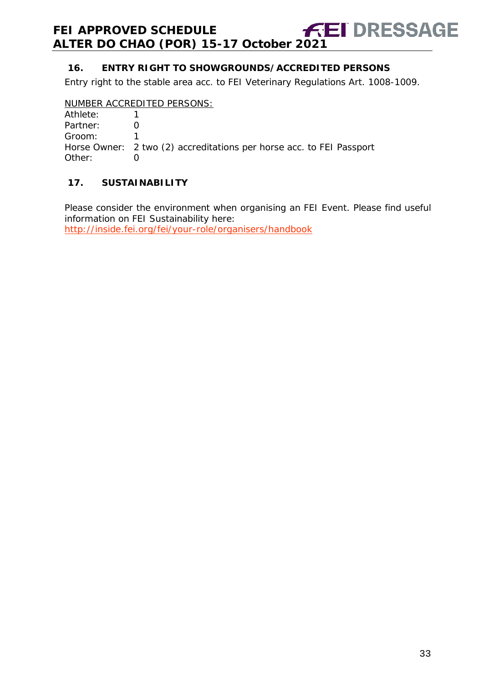### <span id="page-32-0"></span>**16. ENTRY RIGHT TO SHOWGROUNDS/ACCREDITED PERSONS**

Entry right to the stable area acc. to FEI Veterinary Regulations Art. 1008-1009.

#### NUMBER ACCREDITED PERSONS:

| Athlete: |                                                                      |
|----------|----------------------------------------------------------------------|
| Partner: |                                                                      |
| Groom:   |                                                                      |
|          | Horse Owner: 2 two (2) accreditations per horse acc. to FEI Passport |
| Other:   |                                                                      |

#### <span id="page-32-1"></span>**17. SUSTAINABILITY**

Please consider the environment when organising an FEI Event. Please find useful information on FEI Sustainability here:

<http://inside.fei.org/fei/your-role/organisers/handbook>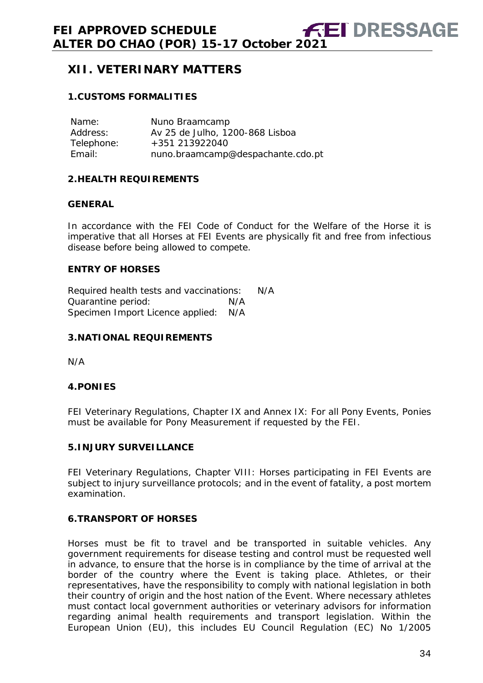## <span id="page-33-0"></span>**XII. VETERINARY MATTERS**

#### <span id="page-33-1"></span>**1.CUSTOMS FORMALITIES**

| Name:      | Nuno Braamcamp                    |
|------------|-----------------------------------|
| Address:   | Av 25 de Julho, 1200-868 Lisboa   |
| Telephone: | +351 213922040                    |
| Email:     | nuno.braamcamp@despachante.cdo.pt |

#### <span id="page-33-2"></span>**2.HEALTH REQUIREMENTS**

#### **GENERAL**

In accordance with the FEI Code of Conduct for the Welfare of the Horse it is imperative that all Horses at FEI Events are physically fit and free from infectious disease before being allowed to compete.

#### **ENTRY OF HORSES**

Required health tests and vaccinations: N/A Quarantine period: N/A Specimen Import Licence applied: N/A

#### <span id="page-33-3"></span>**3.NATIONAL REQUIREMENTS**

N/A

#### <span id="page-33-4"></span>**4.PONIES**

FEI Veterinary Regulations, Chapter IX and Annex IX: For all Pony Events, Ponies must be available for Pony Measurement if requested by the FEI.

#### <span id="page-33-5"></span>**5.INJURY SURVEILLANCE**

FEI Veterinary Regulations, Chapter VIII: Horses participating in FEI Events are subject to injury surveillance protocols; and in the event of fatality, a post mortem examination.

#### <span id="page-33-6"></span>**6.TRANSPORT OF HORSES**

Horses must be fit to travel and be transported in suitable vehicles. Any government requirements for disease testing and control must be requested well in advance, to ensure that the horse is in compliance by the time of arrival at the border of the country where the Event is taking place. Athletes, or their representatives, have the responsibility to comply with national legislation in both their country of origin and the host nation of the Event. Where necessary athletes must contact local government authorities or veterinary advisors for information regarding animal health requirements and transport legislation. Within the European Union (EU), this includes EU Council Regulation (EC) No 1/2005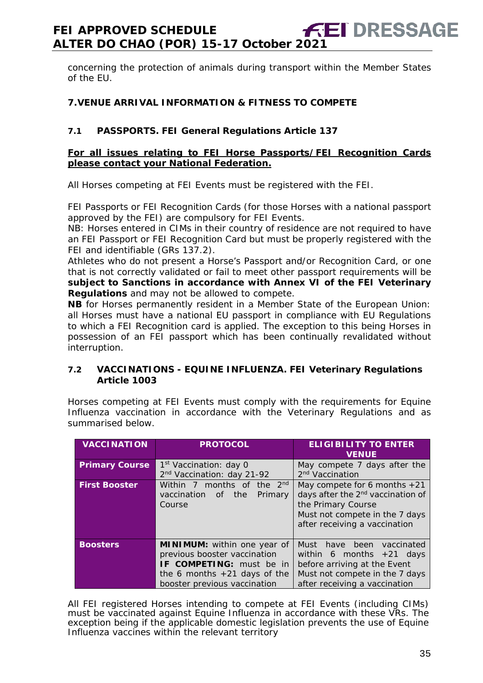concerning the protection of animals during transport within the Member States of the EU.

#### <span id="page-34-0"></span>**7.VENUE ARRIVAL INFORMATION & FITNESS TO COMPETE**

#### **7.1 PASSPORTS. FEI General Regulations Article 137**

#### **For all issues relating to FEI Horse Passports/FEI Recognition Cards please contact your National Federation.**

All Horses competing at FEI Events must be registered with the FEI.

FEI Passports or FEI Recognition Cards (for those Horses with a national passport approved by the FEI) are compulsory for FEI Events.

NB: Horses entered in CIMs in their country of residence are not required to have an FEI Passport or FEI Recognition Card but must be properly registered with the FEI and identifiable (GRs 137.2).

Athletes who do not present a Horse's Passport and/or Recognition Card, or one that is not correctly validated or fail to meet other passport requirements will be **subject to Sanctions in accordance with Annex VI of the FEI Veterinary Regulations** and may not be allowed to compete.

**NB** for Horses permanently resident in a Member State of the European Union: all Horses must have a national EU passport in compliance with EU Regulations to which a FEI Recognition card is applied. The exception to this being Horses in possession of an FEI passport which has been continually revalidated without interruption.

#### **7.2 VACCINATIONS - EQUINE INFLUENZA. FEI Veterinary Regulations Article 1003**

Horses competing at FEI Events must comply with the requirements for Equine Influenza vaccination in accordance with the Veterinary Regulations and as summarised below.

| <b>VACCINATION</b>    | <b>PROTOCOL</b>                                                                                                                                                  | <b>ELIGIBILITY TO ENTER</b><br><b>VENUE</b>                                                                                                                              |  |
|-----------------------|------------------------------------------------------------------------------------------------------------------------------------------------------------------|--------------------------------------------------------------------------------------------------------------------------------------------------------------------------|--|
| <b>Primary Course</b> | 1 <sup>st</sup> Vaccination: day 0<br>2 <sup>nd</sup> Vaccination: day 21-92                                                                                     | May compete 7 days after the<br>2 <sup>nd</sup> Vaccination                                                                                                              |  |
| <b>First Booster</b>  | Within 7 months of the 2 <sup>nd</sup><br>vaccination<br>the<br>Primary<br>of of<br>Course                                                                       | May compete for 6 months $+21$<br>days after the 2 <sup>nd</sup> vaccination of<br>the Primary Course<br>Must not compete in the 7 days<br>after receiving a vaccination |  |
| <b>Boosters</b>       | <b>MINIMUM:</b> within one year of<br>previous booster vaccination<br>IF COMPETING: must be in<br>the 6 months $+21$ days of the<br>booster previous vaccination | Must<br>been<br>have<br>vaccinated<br>within 6 months $+21$ days<br>before arriving at the Event<br>Must not compete in the 7 days<br>after receiving a vaccination      |  |

All FEI registered Horses intending to compete at FEI Events (including CIMs) must be vaccinated against Equine Influenza in accordance with these VRs. The exception being if the applicable domestic legislation prevents the use of Equine Influenza vaccines within the relevant territory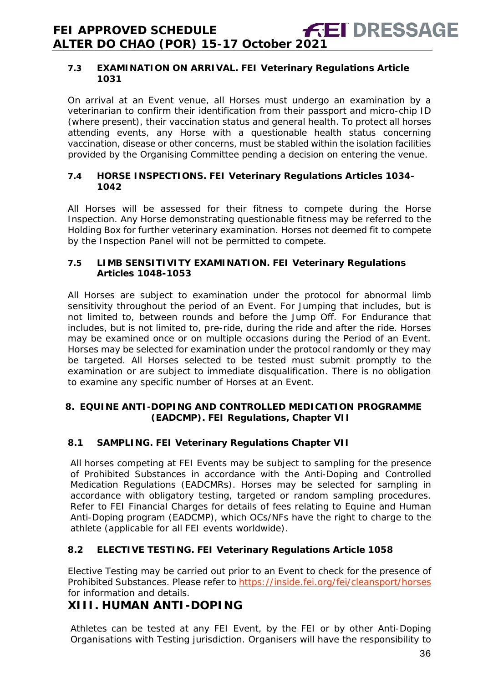#### **7.3 EXAMINATION ON ARRIVAL. FEI Veterinary Regulations Article 1031**

On arrival at an Event venue, all Horses must undergo an examination by a veterinarian to confirm their identification from their passport and micro-chip ID (where present), their vaccination status and general health. To protect all horses attending events, any Horse with a questionable health status concerning vaccination, disease or other concerns, must be stabled within the isolation facilities provided by the Organising Committee pending a decision on entering the venue.

#### **7.4 HORSE INSPECTIONS. FEI Veterinary Regulations Articles 1034- 1042**

All Horses will be assessed for their fitness to compete during the Horse Inspection. Any Horse demonstrating questionable fitness may be referred to the Holding Box for further veterinary examination. Horses not deemed fit to compete by the Inspection Panel will not be permitted to compete.

#### **7.5 LIMB SENSITIVITY EXAMINATION. FEI Veterinary Regulations Articles 1048-1053**

All Horses are subject to examination under the protocol for abnormal limb sensitivity throughout the period of an Event. For Jumping that includes, but is not limited to, between rounds and before the Jump Off. For Endurance that includes, but is not limited to, pre-ride, during the ride and after the ride. Horses may be examined once or on multiple occasions during the Period of an Event. Horses may be selected for examination under the protocol randomly or they may be targeted. All Horses selected to be tested must submit promptly to the examination or are subject to immediate disqualification. There is no obligation to examine any specific number of Horses at an Event.

#### <span id="page-35-0"></span>**8. EQUINE ANTI-DOPING AND CONTROLLED MEDICATION PROGRAMME (EADCMP). FEI Regulations, Chapter VII**

#### **8.1 SAMPLING. FEI Veterinary Regulations Chapter VII**

All horses competing at FEI Events may be subject to sampling for the presence of Prohibited Substances in accordance with the Anti-Doping and Controlled Medication Regulations (EADCMRs). Horses may be selected for sampling in accordance with obligatory testing, targeted or random sampling procedures. Refer to FEI Financial Charges for details of fees relating to Equine and Human Anti-Doping program (EADCMP), which OCs/NFs have the right to charge to the athlete (applicable for all FEI events worldwide).

## **8.2 ELECTIVE TESTING. FEI Veterinary Regulations Article 1058**

Elective Testing may be carried out prior to an Event to check for the presence of Prohibited Substances. Please refer to https://inside.fei.org/fei/cleansport/horses for information and details.

## <span id="page-35-1"></span>**XIII. HUMAN ANTI-DOPING**

Athletes can be tested at any FEI Event, by the FEI or by other Anti-Doping Organisations with Testing jurisdiction. Organisers will have the responsibility to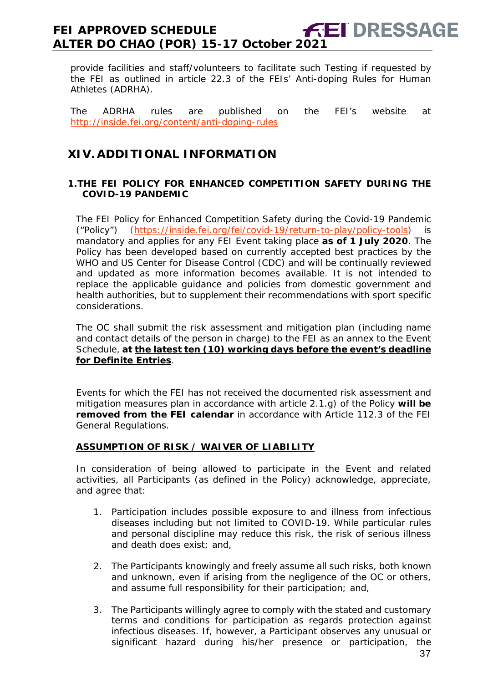provide facilities and staff/volunteers to facilitate such Testing if requested by the FEI as outlined in article 22.3 of the FEIs' Anti-doping Rules for Human Athletes (ADRHA).

The ADRHA rules are published on the FEI's website at <http://inside.fei.org/content/anti-doping-rules>

## <span id="page-36-0"></span>**XIV. ADDITIONAL INFORMATION**

#### <span id="page-36-1"></span>**1.THE FEI POLICY FOR ENHANCED COMPETITION SAFETY DURING THE COVID-19 PANDEMIC**

The FEI Policy for Enhanced Competition Safety during the Covid-19 Pandemic ("Policy") [\(https://inside.fei.org/fei/covid-19/return-to-play/policy-tools\)](https://inside.fei.org/fei/covid-19/return-to-play/policy-tools) is mandatory and applies for any FEI Event taking place **as of 1 July 2020**. The Policy has been developed based on currently accepted best practices by the WHO and US Center for Disease Control (CDC) and will be continually reviewed and updated as more information becomes available. It is not intended to replace the applicable guidance and policies from domestic government and health authorities, but to supplement their recommendations with sport specific considerations.

The OC shall submit the risk assessment and mitigation plan (including name and contact details of the person in charge) to the FEI as an annex to the Event Schedule, **at the latest ten (10) working days before the event's deadline for Definite Entries**.

Events for which the FEI has not received the documented risk assessment and mitigation measures plan in accordance with article 2.1.g) of the Policy **will be removed from the FEI calendar** in accordance with Article 112.3 of the FEI General Regulations.

#### **ASSUMPTION OF RISK / WAIVER OF LIABILITY**

In consideration of being allowed to participate in the Event and related activities, all Participants (as defined in the Policy) acknowledge, appreciate, and agree that:

- 1. Participation includes possible exposure to and illness from infectious diseases including but not limited to COVID-19. While particular rules and personal discipline may reduce this risk, the risk of serious illness and death does exist; and,
- 2. The Participants knowingly and freely assume all such risks, both known and unknown, even if arising from the negligence of the OC or others, and assume full responsibility for their participation; and,
- 3. The Participants willingly agree to comply with the stated and customary terms and conditions for participation as regards protection against infectious diseases. If, however, a Participant observes any unusual or significant hazard during his/her presence or participation, the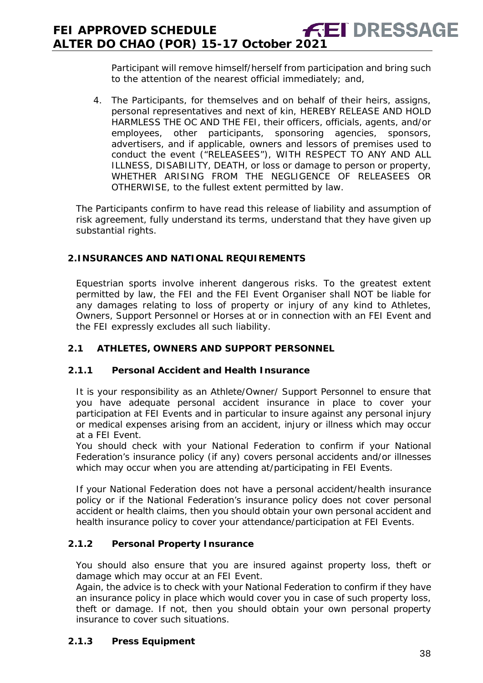Participant will remove himself/herself from participation and bring such to the attention of the nearest official immediately; and,

4. The Participants, for themselves and on behalf of their heirs, assigns, personal representatives and next of kin, HEREBY RELEASE AND HOLD HARMLESS THE OC AND THE FEI, their officers, officials, agents, and/or employees, other participants, sponsoring agencies, sponsors, advertisers, and if applicable, owners and lessors of premises used to conduct the event ("RELEASEES"), WITH RESPECT TO ANY AND ALL ILLNESS, DISABILITY, DEATH, or loss or damage to person or property, WHETHER ARISING FROM THE NEGLIGENCE OF RELEASEES OR OTHERWISE, to the fullest extent permitted by law.

The Participants confirm to have read this release of liability and assumption of risk agreement, fully understand its terms, understand that they have given up substantial rights.

#### <span id="page-37-0"></span>**2.INSURANCES AND NATIONAL REQUIREMENTS**

Equestrian sports involve inherent dangerous risks. To the greatest extent permitted by law, the FEI and the FEI Event Organiser shall NOT be liable for any damages relating to loss of property or injury of any kind to Athletes, Owners, Support Personnel or Horses at or in connection with an FEI Event and the FEI expressly excludes all such liability.

#### **2.1 ATHLETES, OWNERS AND SUPPORT PERSONNEL**

#### **2.1.1 Personal Accident and Health Insurance**

It is your responsibility as an Athlete/Owner/ Support Personnel to ensure that you have adequate personal accident insurance in place to cover your participation at FEI Events and in particular to insure against any personal injury or medical expenses arising from an accident, injury or illness which may occur at a FEI Event.

You should check with your National Federation to confirm if your National Federation's insurance policy (if any) covers personal accidents and/or illnesses which may occur when you are attending at/participating in FEI Events.

If your National Federation does not have a personal accident/health insurance policy or if the National Federation's insurance policy does not cover personal accident or health claims, then you should obtain your own personal accident and health insurance policy to cover your attendance/participation at FEI Events.

#### **2.1.2 Personal Property Insurance**

You should also ensure that you are insured against property loss, theft or damage which may occur at an FEI Event.

Again, the advice is to check with your National Federation to confirm if they have an insurance policy in place which would cover you in case of such property loss, theft or damage. If not, then you should obtain your own personal property insurance to cover such situations.

#### **2.1.3 Press Equipment**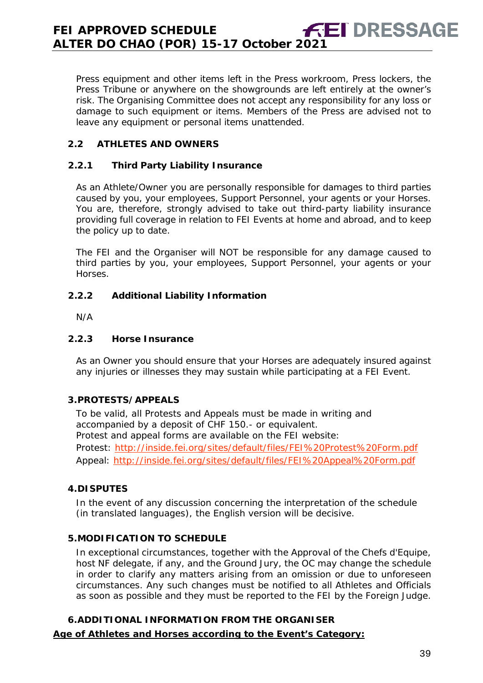Press equipment and other items left in the Press workroom, Press lockers, the Press Tribune or anywhere on the showgrounds are left entirely at the owner's risk. The Organising Committee does not accept any responsibility for any loss or damage to such equipment or items. Members of the Press are advised not to leave any equipment or personal items unattended.

#### **2.2 ATHLETES AND OWNERS**

#### **2.2.1 Third Party Liability Insurance**

As an Athlete/Owner you are personally responsible for damages to third parties caused by you, your employees, Support Personnel, your agents or your Horses. You are, therefore, strongly advised to take out third-party liability insurance providing full coverage in relation to FEI Events at home and abroad, and to keep the policy up to date.

The FEI and the Organiser will NOT be responsible for any damage caused to third parties by you, your employees, Support Personnel, your agents or your Horses.

#### **2.2.2 Additional Liability Information**

N/A

#### **2.2.3 Horse Insurance**

As an Owner you should ensure that your Horses are adequately insured against any injuries or illnesses they may sustain while participating at a FEI Event.

#### <span id="page-38-0"></span>**3.PROTESTS/APPEALS**

To be valid, all Protests and Appeals must be made in writing and accompanied by a deposit of CHF 150.- or equivalent. Protest and appeal forms are available on the FEI website: Protest:<http://inside.fei.org/sites/default/files/FEI%20Protest%20Form.pdf> Appeal:<http://inside.fei.org/sites/default/files/FEI%20Appeal%20Form.pdf>

#### <span id="page-38-1"></span>**4.DISPUTES**

In the event of any discussion concerning the interpretation of the schedule (in translated languages), the English version will be decisive.

#### <span id="page-38-2"></span>**5.MODIFICATION TO SCHEDULE**

In exceptional circumstances, together with the Approval of the Chefs d'Equipe, host NF delegate, if any, and the Ground Jury, the OC may change the schedule in order to clarify any matters arising from an omission or due to unforeseen circumstances. Any such changes must be notified to all Athletes and Officials as soon as possible and they must be reported to the FEI by the Foreign Judge.

#### <span id="page-38-3"></span>**6.ADDITIONAL INFORMATION FROM THE ORGANISER**

#### **Age of Athletes and Horses according to the Event's Category:**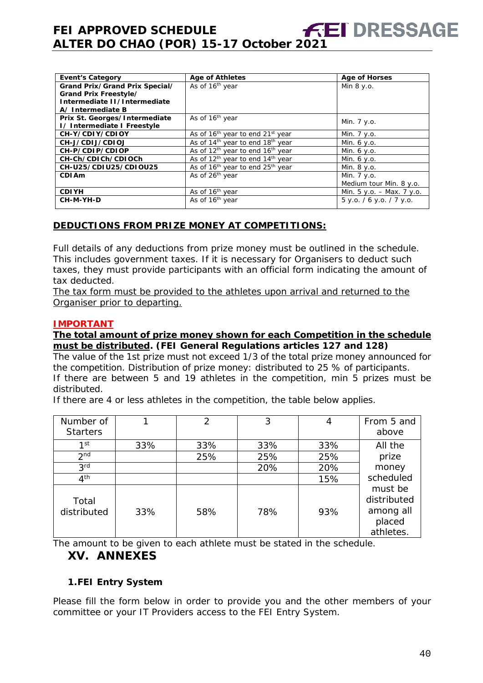| <b>Event's Category</b>        | <b>Age of Athletes</b>                                   | <b>Age of Horses</b>        |
|--------------------------------|----------------------------------------------------------|-----------------------------|
| Grand Prix/Grand Prix Special/ | As of 16 <sup>th</sup> year                              | Min $8 y.o.$                |
| Grand Prix Freestyle/          |                                                          |                             |
| Intermediate II/Intermediate   |                                                          |                             |
| A/Intermediate B               |                                                          |                             |
| Prix St. Georges/Intermediate  | As of 16 <sup>th</sup> year                              | Min. 7 y.o.                 |
| I/ Intermediate I Freestyle    |                                                          |                             |
| CH-Y/CDIY/CDIOY                | As of 16 <sup>th</sup> year to end 21 <sup>st</sup> year | Min. 7 y.o.                 |
| CH-J/CDIJ/CDIOJ                | As of 14 <sup>th</sup> year to end 18 <sup>th</sup> year | Min. 6 y.o.                 |
| CH-P/CDIP/CDIOP                | As of 12 <sup>th</sup> year to end 16 <sup>th</sup> year | Min. $6 y.o.$               |
| CH-Ch/CDICh/CDIOCh             | As of 12 <sup>th</sup> year to end 14 <sup>th</sup> year | Min. 6 y.o.                 |
| CH-U25/CDIU25/CDIOU25          | As of 16 <sup>th</sup> year to end 25 <sup>th</sup> year | Min. 8 y.o.                 |
| CDI Am                         | As of 26 <sup>th</sup> year                              | Min. 7 y.o.                 |
|                                |                                                          | Medium tour Min. 8 y.o.     |
| <b>CDIYH</b>                   | As of 16 <sup>th</sup> year                              | Min. $5 y.o. - Max. 7 y.o.$ |
| CH-M-YH-D                      | As of 16 <sup>th</sup> year                              | $5$ y.o. / 6 y.o. / 7 y.o.  |
|                                |                                                          |                             |

#### **DEDUCTIONS FROM PRIZE MONEY AT COMPETITIONS:**

Full details of any deductions from prize money must be outlined in the schedule. This includes government taxes. If it is necessary for Organisers to deduct such taxes, they must provide participants with an official form indicating the amount of tax deducted.

The tax form must be provided to the athletes upon arrival and returned to the Organiser prior to departing.

#### **IMPORTANT**

#### **The total amount of prize money shown for each Competition in the schedule must be distributed. (FEI General Regulations articles 127 and 128)**

The value of the 1st prize must not exceed 1/3 of the total prize money announced for the competition. Distribution of prize money: distributed to 25 % of participants. If there are between 5 and 19 athletes in the competition, min 5 prizes must be distributed.

If there are 4 or less athletes in the competition, the table below applies.

| Number of<br><b>Starters</b> |     | 2   | 3   | 4   | From 5 and<br>above                                        |
|------------------------------|-----|-----|-----|-----|------------------------------------------------------------|
| 1st                          | 33% | 33% | 33% | 33% | All the                                                    |
| 2 <sub>nd</sub>              |     | 25% | 25% | 25% | prize                                                      |
| 3 <sup>rd</sup>              |     |     | 20% | 20% | money                                                      |
| 4 <sup>th</sup>              |     |     |     | 15% | scheduled                                                  |
| Total<br>distributed         | 33% | 58% | 78% | 93% | must be<br>distributed<br>among all<br>placed<br>athletes. |

<span id="page-39-0"></span>The amount to be given to each athlete must be stated in the schedule.

## **XV. ANNEXES**

#### <span id="page-39-1"></span>**1.FEI Entry System**

Please fill the form below in order to provide you and the other members of your committee or your IT Providers access to the FEI Entry System.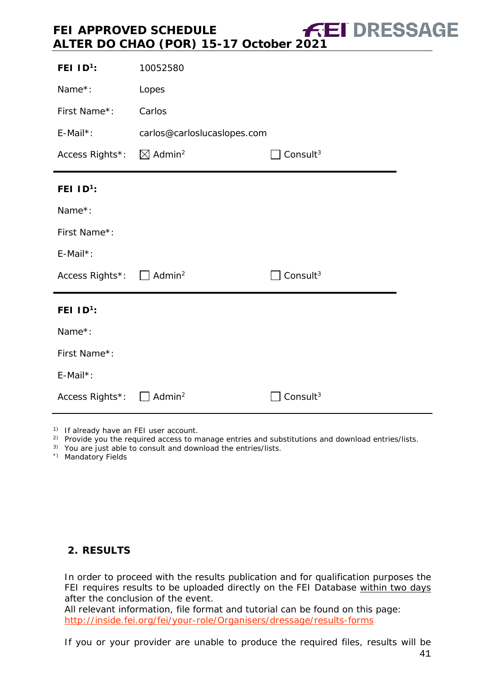| FEI $ID^1$ :                         | 10052580                    |                      |
|--------------------------------------|-----------------------------|----------------------|
| Name*:                               | Lopes                       |                      |
| First Name*:                         | Carlos                      |                      |
| E-Mail*:                             | carlos@carloslucaslopes.com |                      |
| Access Rights*: ⊠ Admin <sup>2</sup> |                             | Consult <sup>3</sup> |
| FEI $1D^1$ :                         |                             |                      |
| Name*:                               |                             |                      |
| First Name*:                         |                             |                      |
| E-Mail*:                             |                             |                      |
| Access Rights*: □ Admin <sup>2</sup> |                             | Consult <sup>3</sup> |
| FEI ID <sup>1</sup> :                |                             |                      |
| Name*:                               |                             |                      |
| First Name*:                         |                             |                      |
| E-Mail*:                             |                             |                      |
| Access Rights*: △ Admin <sup>2</sup> |                             | Consult <sup>3</sup> |

1) If already have an FEI user account.

- <sup>2)</sup> Provide you the required access to manage entries and substitutions and download entries/lists.
- 3) You are just able to consult and download the entries/lists.
- \*) Mandatory Fields

#### <span id="page-40-0"></span>**2. RESULTS**

In order to proceed with the results publication and for qualification purposes the FEI requires results to be uploaded directly on the FEI Database within two days after the conclusion of the event.

All relevant information, file format and tutorial can be found on this page: <http://inside.fei.org/fei/your-role/Organisers/dressage/results-forms>

If you or your provider are unable to produce the required files, results will be